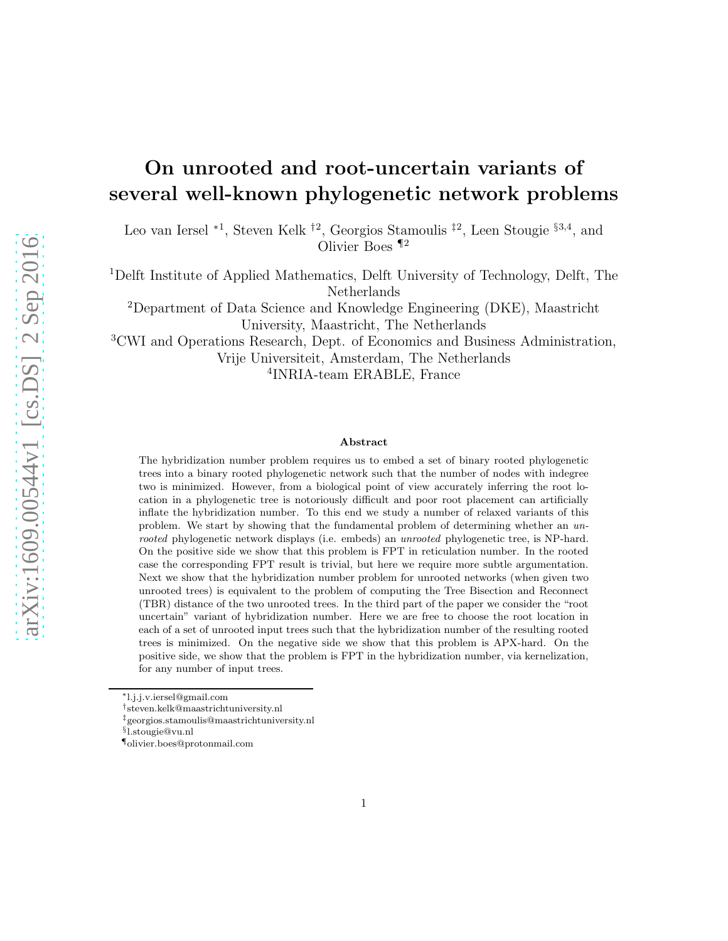# On unrooted and root-uncertain variants of several well-known phylogenetic network problems

Leo van Iersel <sup>\*1</sup>, Steven Kelk <sup>†2</sup>, Georgios Stamoulis <sup>‡2</sup>, Leen Stougie <sup>§3,4</sup>, and Olivier Boes ¶<sup>2</sup>

<sup>1</sup>Delft Institute of Applied Mathematics, Delft University of Technology, Delft, The Netherlands

<sup>2</sup>Department of Data Science and Knowledge Engineering (DKE), Maastricht University, Maastricht, The Netherlands

<sup>3</sup>CWI and Operations Research, Dept. of Economics and Business Administration,

Vrije Universiteit, Amsterdam, The Netherlands

4 INRIA-team ERABLE, France

#### Abstract

The hybridization number problem requires us to embed a set of binary rooted phylogenetic trees into a binary rooted phylogenetic network such that the number of nodes with indegree two is minimized. However, from a biological point of view accurately inferring the root location in a phylogenetic tree is notoriously difficult and poor root placement can artificially inflate the hybridization number. To this end we study a number of relaxed variants of this problem. We start by showing that the fundamental problem of determining whether an unrooted phylogenetic network displays (i.e. embeds) an unrooted phylogenetic tree, is NP-hard. On the positive side we show that this problem is FPT in reticulation number. In the rooted case the corresponding FPT result is trivial, but here we require more subtle argumentation. Next we show that the hybridization number problem for unrooted networks (when given two unrooted trees) is equivalent to the problem of computing the Tree Bisection and Reconnect (TBR) distance of the two unrooted trees. In the third part of the paper we consider the "root uncertain" variant of hybridization number. Here we are free to choose the root location in each of a set of unrooted input trees such that the hybridization number of the resulting rooted trees is minimized. On the negative side we show that this problem is APX-hard. On the positive side, we show that the problem is FPT in the hybridization number, via kernelization, for any number of input trees.

<sup>∗</sup> l.j.j.v.iersel@gmail.com

<sup>†</sup> steven.kelk@maastrichtuniversity.nl

<sup>‡</sup>georgios.stamoulis@maastrichtuniversity.nl

<sup>§</sup> l.stougie@vu.nl

<sup>¶</sup>olivier.boes@protonmail.com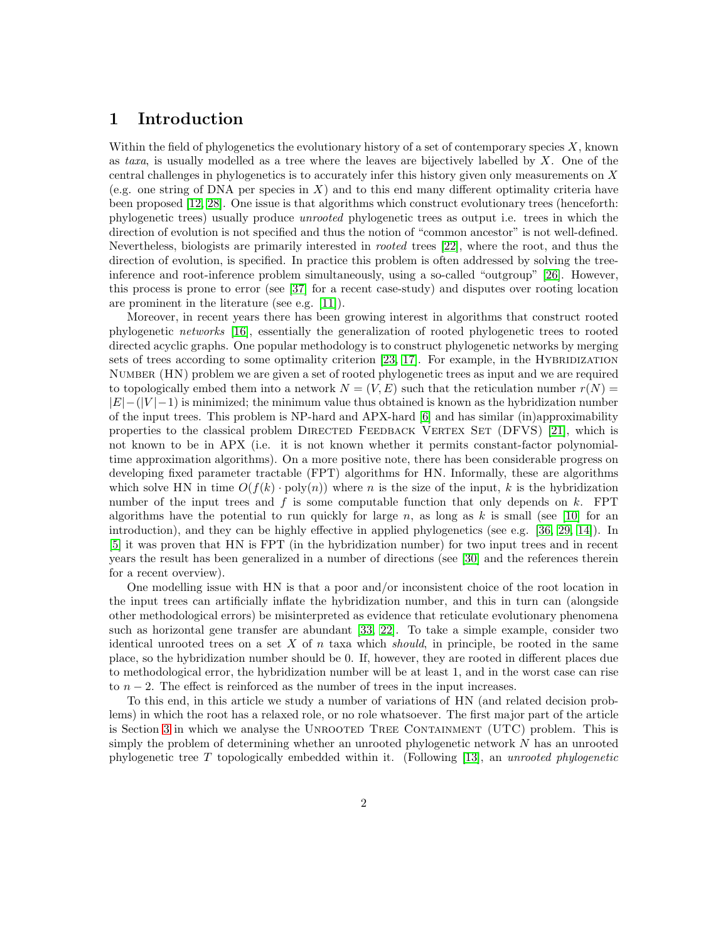### 1 Introduction

Within the field of phylogenetics the evolutionary history of a set of contemporary species  $X$ , known as taxa, is usually modelled as a tree where the leaves are bijectively labelled by  $X$ . One of the central challenges in phylogenetics is to accurately infer this history given only measurements on X (e.g. one string of DNA per species in  $X$ ) and to this end many different optimality criteria have been proposed [\[12,](#page-23-0) [28\]](#page-24-0). One issue is that algorithms which construct evolutionary trees (henceforth: phylogenetic trees) usually produce unrooted phylogenetic trees as output i.e. trees in which the direction of evolution is not specified and thus the notion of "common ancestor" is not well-defined. Nevertheless, biologists are primarily interested in rooted trees [\[22\]](#page-24-1), where the root, and thus the direction of evolution, is specified. In practice this problem is often addressed by solving the treeinference and root-inference problem simultaneously, using a so-called "outgroup" [\[26\]](#page-24-2). However, this process is prone to error (see [\[37\]](#page-25-0) for a recent case-study) and disputes over rooting location are prominent in the literature (see e.g. [\[11\]](#page-23-1)).

Moreover, in recent years there has been growing interest in algorithms that construct rooted phylogenetic networks [\[16\]](#page-23-2), essentially the generalization of rooted phylogenetic trees to rooted directed acyclic graphs. One popular methodology is to construct phylogenetic networks by merging sets of trees according to some optimality criterion  $[23, 17]$  $[23, 17]$ . For example, in the HYBRIDIZATION Number (HN) problem we are given a set of rooted phylogenetic trees as input and we are required to topologically embed them into a network  $N = (V, E)$  such that the reticulation number  $r(N)$  $|E|-(|V|-1)$  is minimized; the minimum value thus obtained is known as the hybridization number of the input trees. This problem is NP-hard and APX-hard [\[6\]](#page-23-3) and has similar (in)approximability properties to the classical problem DIRECTED FEEDBACK VERTEX SET (DFVS) [\[21\]](#page-24-5), which is not known to be in APX (i.e. it is not known whether it permits constant-factor polynomialtime approximation algorithms). On a more positive note, there has been considerable progress on developing fixed parameter tractable (FPT) algorithms for HN. Informally, these are algorithms which solve HN in time  $O(f(k) \cdot \text{poly}(n))$  where n is the size of the input, k is the hybridization number of the input trees and f is some computable function that only depends on k. FPT algorithms have the potential to run quickly for large n, as long as k is small (see [\[10\]](#page-23-4) for an introduction), and they can be highly effective in applied phylogenetics (see e.g. [\[36,](#page-25-1) [29,](#page-24-6) [14\]](#page-23-5)). In [\[5\]](#page-23-6) it was proven that HN is FPT (in the hybridization number) for two input trees and in recent years the result has been generalized in a number of directions (see [\[30\]](#page-24-7) and the references therein for a recent overview).

One modelling issue with HN is that a poor and/or inconsistent choice of the root location in the input trees can artificially inflate the hybridization number, and this in turn can (alongside other methodological errors) be misinterpreted as evidence that reticulate evolutionary phenomena such as horizontal gene transfer are abundant [\[33,](#page-24-8) [22\]](#page-24-1). To take a simple example, consider two identical unrooted trees on a set X of n taxa which should, in principle, be rooted in the same place, so the hybridization number should be 0. If, however, they are rooted in different places due to methodological error, the hybridization number will be at least 1, and in the worst case can rise to  $n-2$ . The effect is reinforced as the number of trees in the input increases.

To this end, in this article we study a number of variations of HN (and related decision problems) in which the root has a relaxed role, or no role whatsoever. The first major part of the article is Section [3](#page-5-0) in which we analyse the Unrooted Tree Containment (UTC) problem. This is simply the problem of determining whether an unrooted phylogenetic network  $N$  has an unrooted phylogenetic tree T topologically embedded within it. (Following [\[13\]](#page-23-7), an unrooted phylogenetic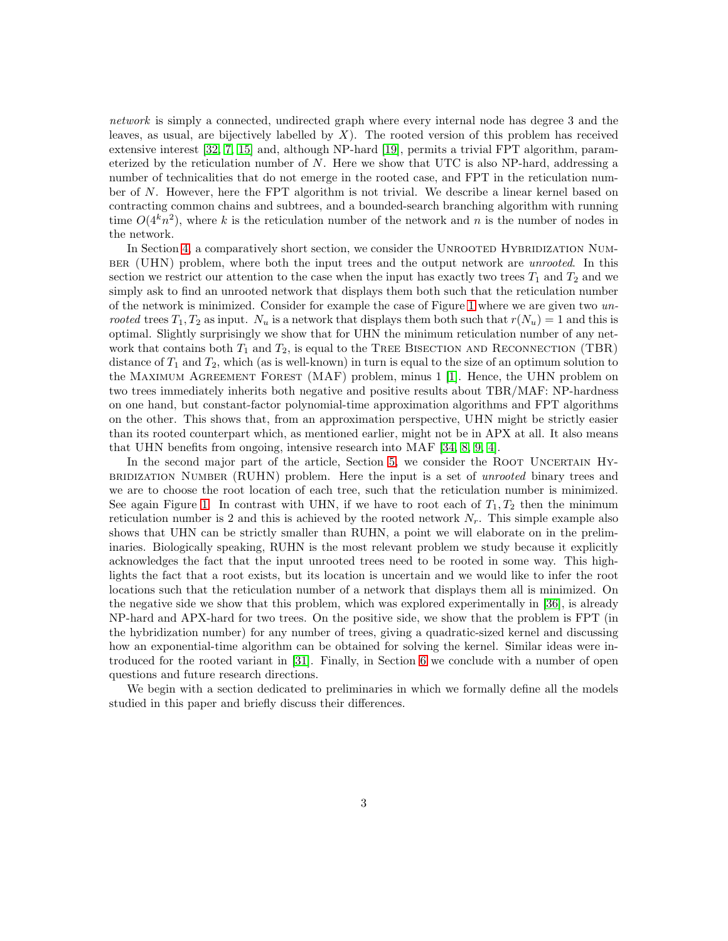network is simply a connected, undirected graph where every internal node has degree 3 and the leaves, as usual, are bijectively labelled by  $X$ ). The rooted version of this problem has received extensive interest [\[32,](#page-24-9) [7,](#page-23-8) [15\]](#page-23-9) and, although NP-hard [\[19\]](#page-24-10), permits a trivial FPT algorithm, parameterized by the reticulation number of  $N$ . Here we show that UTC is also NP-hard, addressing a number of technicalities that do not emerge in the rooted case, and FPT in the reticulation number of N. However, here the FPT algorithm is not trivial. We describe a linear kernel based on contracting common chains and subtrees, and a bounded-search branching algorithm with running time  $O(4^k n^2)$ , where k is the reticulation number of the network and n is the number of nodes in the network.

In Section [4,](#page-14-0) a comparatively short section, we consider the UNROOTED HYBRIDIZATION NUMber (UHN) problem, where both the input trees and the output network are unrooted. In this section we restrict our attention to the case when the input has exactly two trees  $T_1$  and  $T_2$  and we simply ask to find an unrooted network that displays them both such that the reticulation number of the network is minimized. Consider for example the case of Figure [1](#page-3-0) where we are given two unrooted trees  $T_1, T_2$  as input.  $N_u$  is a network that displays them both such that  $r(N_u) = 1$  and this is optimal. Slightly surprisingly we show that for UHN the minimum reticulation number of any network that contains both  $T_1$  and  $T_2$ , is equal to the TREE BISECTION AND RECONNECTION (TBR) distance of  $T_1$  and  $T_2$ , which (as is well-known) in turn is equal to the size of an optimum solution to the Maximum Agreement Forest (MAF) problem, minus 1 [\[1\]](#page-23-10). Hence, the UHN problem on two trees immediately inherits both negative and positive results about TBR/MAF: NP-hardness on one hand, but constant-factor polynomial-time approximation algorithms and FPT algorithms on the other. This shows that, from an approximation perspective, UHN might be strictly easier than its rooted counterpart which, as mentioned earlier, might not be in APX at all. It also means that UHN benefits from ongoing, intensive research into MAF [\[34,](#page-25-2) [8,](#page-23-11) [9,](#page-23-12) [4\]](#page-23-13).

In the second major part of the article, Section [5,](#page-16-0) we consider the ROOT UNCERTAIN HYbridization Number (RUHN) problem. Here the input is a set of unrooted binary trees and we are to choose the root location of each tree, such that the reticulation number is minimized. See again Figure [1.](#page-3-0) In contrast with UHN, if we have to root each of  $T_1, T_2$  then the minimum reticulation number is 2 and this is achieved by the rooted network  $N_r$ . This simple example also shows that UHN can be strictly smaller than RUHN, a point we will elaborate on in the preliminaries. Biologically speaking, RUHN is the most relevant problem we study because it explicitly acknowledges the fact that the input unrooted trees need to be rooted in some way. This highlights the fact that a root exists, but its location is uncertain and we would like to infer the root locations such that the reticulation number of a network that displays them all is minimized. On the negative side we show that this problem, which was explored experimentally in [\[36\]](#page-25-1), is already NP-hard and APX-hard for two trees. On the positive side, we show that the problem is FPT (in the hybridization number) for any number of trees, giving a quadratic-sized kernel and discussing how an exponential-time algorithm can be obtained for solving the kernel. Similar ideas were introduced for the rooted variant in [\[31\]](#page-24-11). Finally, in Section [6](#page-22-0) we conclude with a number of open questions and future research directions.

We begin with a section dedicated to preliminaries in which we formally define all the models studied in this paper and briefly discuss their differences.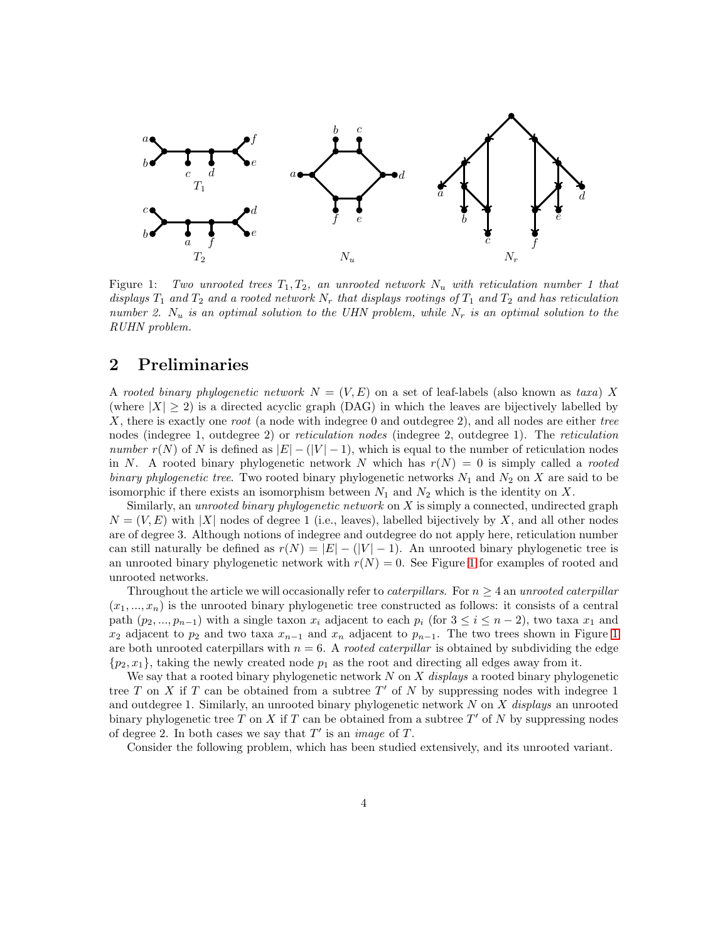<span id="page-3-0"></span>

Figure 1: Two unrooted trees  $T_1, T_2,$  an unrooted network  $N_u$  with reticulation number 1 that displays  $T_1$  and  $T_2$  and a rooted network  $N_r$  that displays rootings of  $T_1$  and  $T_2$  and has reticulation number 2.  $N_u$  is an optimal solution to the UHN problem, while  $N_r$  is an optimal solution to the RUHN problem.

### 2 Preliminaries

A rooted binary phylogenetic network  $N = (V, E)$  on a set of leaf-labels (also known as taxa) X (where  $|X| \ge 2$ ) is a directed acyclic graph (DAG) in which the leaves are bijectively labelled by X, there is exactly one root (a node with indegree 0 and outdegree 2), and all nodes are either tree nodes (indegree 1, outdegree 2) or *reticulation nodes* (indegree 2, outdegree 1). The *reticulation* number  $r(N)$  of N is defined as  $|E| - (|V| - 1)$ , which is equal to the number of reticulation nodes in N. A rooted binary phylogenetic network N which has  $r(N) = 0$  is simply called a *rooted* binary phylogenetic tree. Two rooted binary phylogenetic networks  $N_1$  and  $N_2$  on X are said to be isomorphic if there exists an isomorphism between  $N_1$  and  $N_2$  which is the identity on X.

Similarly, an *unrooted binary phylogenetic network* on X is simply a connected, undirected graph  $N = (V, E)$  with |X| nodes of degree 1 (i.e., leaves), labelled bijectively by X, and all other nodes are of degree 3. Although notions of indegree and outdegree do not apply here, reticulation number can still naturally be defined as  $r(N) = |E| - (|V| - 1)$ . An unrooted binary phylogenetic tree is an unrooted binary phylogenetic network with  $r(N) = 0$ . See Figure [1](#page-3-0) for examples of rooted and unrooted networks.

Throughout the article we will occasionally refer to *caterpillars*. For  $n \geq 4$  an unrooted caterpillar  $(x_1, ..., x_n)$  is the unrooted binary phylogenetic tree constructed as follows: it consists of a central path  $(p_2, ..., p_{n-1})$  with a single taxon  $x_i$  adjacent to each  $p_i$  (for  $3 \leq i \leq n-2$ ), two taxa  $x_1$  and  $x_2$  adjacent to  $p_2$  and two taxa  $x_{n-1}$  and  $x_n$  adjacent to  $p_{n-1}$ . The two trees shown in Figure [1](#page-3-0) are both unrooted caterpillars with  $n = 6$ . A rooted caterpillar is obtained by subdividing the edge  $\{p_2, x_1\}$ , taking the newly created node  $p_1$  as the root and directing all edges away from it.

We say that a rooted binary phylogenetic network  $N$  on  $X$  displays a rooted binary phylogenetic tree T on X if T can be obtained from a subtree  $T'$  of N by suppressing nodes with indegree 1 and outdegree 1. Similarly, an unrooted binary phylogenetic network  $N$  on  $X$  displays an unrooted binary phylogenetic tree T on X if T can be obtained from a subtree T' of N by suppressing nodes of degree 2. In both cases we say that  $T'$  is an *image* of  $T$ .

Consider the following problem, which has been studied extensively, and its unrooted variant.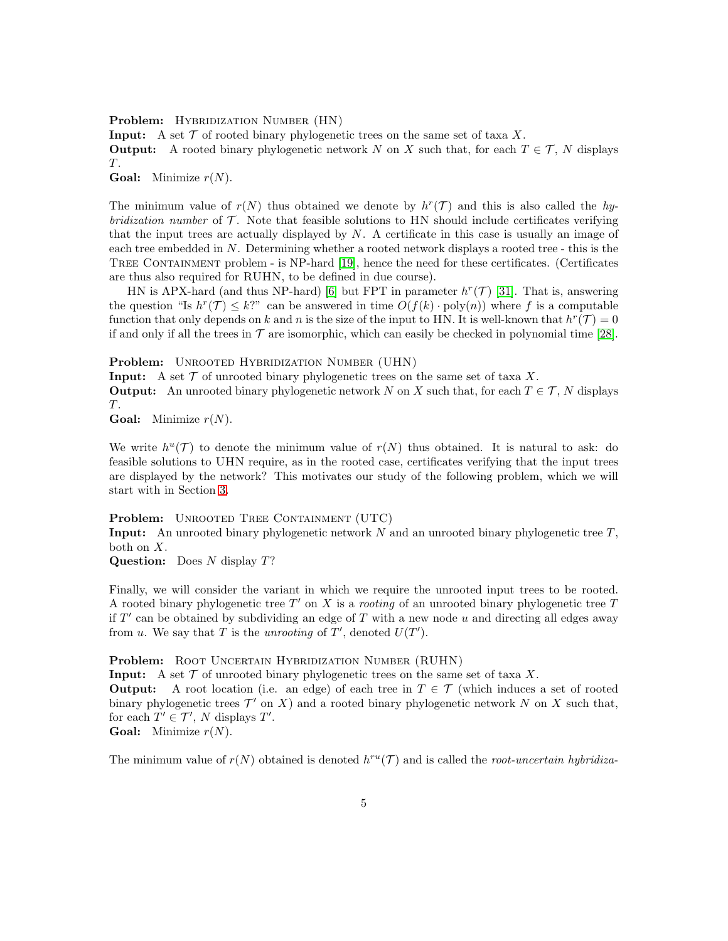Problem: HYBRIDIZATION NUMBER (HN)

**Input:** A set  $\mathcal T$  of rooted binary phylogenetic trees on the same set of taxa X.

**Output:** A rooted binary phylogenetic network N on X such that, for each  $T \in \mathcal{T}$ , N displays  $T$ .

**Goal:** Minimize  $r(N)$ .

The minimum value of  $r(N)$  thus obtained we denote by  $h^{r}(\mathcal{T})$  and this is also called the hybridization number of  $\mathcal T$ . Note that feasible solutions to HN should include certificates verifying that the input trees are actually displayed by  $N$ . A certificate in this case is usually an image of each tree embedded in N. Determining whether a rooted network displays a rooted tree - this is the TREE CONTAINMENT problem - is NP-hard [\[19\]](#page-24-10), hence the need for these certificates. (Certificates are thus also required for RUHN, to be defined in due course).

HN is APX-hard (and thus NP-hard) [\[6\]](#page-23-3) but FPT in parameter  $h^r(\mathcal{T})$  [\[31\]](#page-24-11). That is, answering the question "Is  $h^r(\mathcal{T}) \leq k$ ?" can be answered in time  $O(f(k) \cdot \text{poly}(n))$  where f is a computable function that only depends on k and n is the size of the input to HN. It is well-known that  $h^{r}(\mathcal{T}) = 0$ if and only if all the trees in  $\mathcal T$  are isomorphic, which can easily be checked in polynomial time [\[28\]](#page-24-0).

Problem: UNROOTED HYBRIDIZATION NUMBER (UHN)

**Input:** A set  $\mathcal T$  of unrooted binary phylogenetic trees on the same set of taxa X.

**Output:** An unrooted binary phylogenetic network N on X such that, for each  $T \in \mathcal{T}$ , N displays  $T$ .

**Goal:** Minimize  $r(N)$ .

We write  $h^u(\mathcal{T})$  to denote the minimum value of  $r(N)$  thus obtained. It is natural to ask: do feasible solutions to UHN require, as in the rooted case, certificates verifying that the input trees are displayed by the network? This motivates our study of the following problem, which we will start with in Section [3.](#page-5-0)

Problem: UNROOTED TREE CONTAINMENT (UTC)

**Input:** An unrooted binary phylogenetic network N and an unrooted binary phylogenetic tree  $T$ , both on X.

**Question:** Does  $N$  display  $T$ ?

Finally, we will consider the variant in which we require the unrooted input trees to be rooted. A rooted binary phylogenetic tree  $T'$  on X is a *rooting* of an unrooted binary phylogenetic tree  $T$ if  $T'$  can be obtained by subdividing an edge of T with a new node u and directing all edges away from u. We say that T is the unrooting of  $\overline{T}'$ , denoted  $U(T')$ .

#### Problem: ROOT UNCERTAIN HYBRIDIZATION NUMBER (RUHN)

**Input:** A set  $\mathcal T$  of unrooted binary phylogenetic trees on the same set of taxa X. **Output:** A root location (i.e. an edge) of each tree in  $T \in \mathcal{T}$  (which induces a set of rooted

binary phylogenetic trees  $\mathcal{T}'$  on X) and a rooted binary phylogenetic network N on X such that, for each  $T' \in \mathcal{T}'$ , N displays T'.

**Goal:** Minimize  $r(N)$ .

The minimum value of  $r(N)$  obtained is denoted  $h^{ru}(\mathcal{T})$  and is called the *root-uncertain hybridiza-*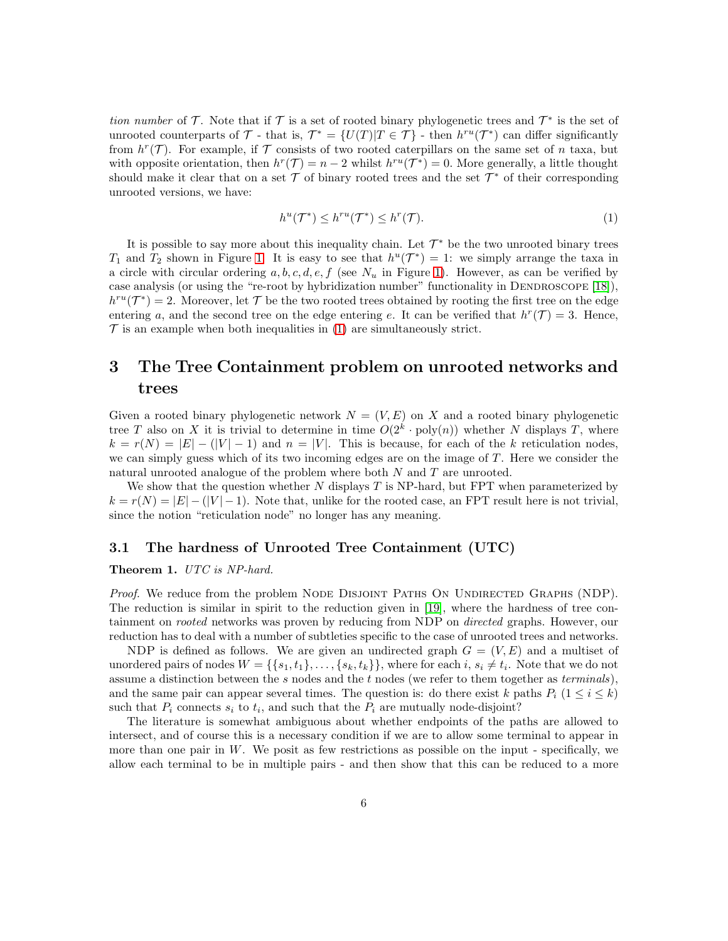tion number of  $\mathcal T$ . Note that if  $\mathcal T$  is a set of rooted binary phylogenetic trees and  $\mathcal T^*$  is the set of unrooted counterparts of T - that is,  $\mathcal{T}^* = \{U(T)|T \in \mathcal{T}\}\$ - then  $h^{ru}(\mathcal{T}^*)$  can differ significantly from  $h^{r}(\mathcal{T})$ . For example, if  $\mathcal T$  consists of two rooted caterpillars on the same set of n taxa, but with opposite orientation, then  $h^r(\mathcal{T}) = n - 2$  whilst  $h^{ru}(\mathcal{T}^*) = 0$ . More generally, a little thought should make it clear that on a set  $\mathcal T$  of binary rooted trees and the set  $\mathcal T^*$  of their corresponding unrooted versions, we have:

<span id="page-5-1"></span>
$$
h^{u}(\mathcal{T}^*) \leq h^{ru}(\mathcal{T}^*) \leq h^{r}(\mathcal{T}).\tag{1}
$$

It is possible to say more about this inequality chain. Let  $\mathcal{T}^*$  be the two unrooted binary trees  $T_1$  and  $T_2$  shown in Figure [1.](#page-3-0) It is easy to see that  $h^u(\mathcal{T}^*) = 1$ : we simply arrange the taxa in a circle with circular ordering  $a, b, c, d, e, f$  (see  $N_u$  in Figure [1\)](#page-3-0). However, as can be verified by case analysis (or using the "re-root by hybridization number" functionality in DENDROSCOPE [\[18\]](#page-24-12)),  $h^{ru}(\mathcal{T}^*)=2.$  Moreover, let  $\mathcal T$  be the two rooted trees obtained by rooting the first tree on the edge entering a, and the second tree on the edge entering e. It can be verified that  $h^{r}(\mathcal{T}) = 3$ . Hence,  $\mathcal T$  is an example when both inequalities in [\(1\)](#page-5-1) are simultaneously strict.

## <span id="page-5-0"></span>3 The Tree Containment problem on unrooted networks and trees

Given a rooted binary phylogenetic network  $N = (V, E)$  on X and a rooted binary phylogenetic tree T also on X it is trivial to determine in time  $O(2^k \cdot \text{poly}(n))$  whether N displays T, where  $k = r(N) = |E| - (|V| - 1)$  and  $n = |V|$ . This is because, for each of the k reticulation nodes, we can simply guess which of its two incoming edges are on the image of T. Here we consider the natural unrooted analogue of the problem where both N and T are unrooted.

We show that the question whether  $N$  displays  $T$  is NP-hard, but FPT when parameterized by  $k = r(N) = |E| - (|V| - 1)$ . Note that, unlike for the rooted case, an FPT result here is not trivial, since the notion "reticulation node" no longer has any meaning.

#### 3.1 The hardness of Unrooted Tree Containment (UTC)

#### Theorem 1. UTC is NP-hard.

Proof. We reduce from the problem NODE DISJOINT PATHS ON UNDIRECTED GRAPHS (NDP). The reduction is similar in spirit to the reduction given in [\[19\]](#page-24-10), where the hardness of tree containment on *rooted* networks was proven by reducing from NDP on *directed* graphs. However, our reduction has to deal with a number of subtleties specific to the case of unrooted trees and networks.

NDP is defined as follows. We are given an undirected graph  $G = (V, E)$  and a multiset of unordered pairs of nodes  $W = \{\{s_1, t_1\}, \ldots, \{s_k, t_k\}\}\,$  where for each  $i, s_i \neq t_i$ . Note that we do not assume a distinction between the s nodes and the t nodes (we refer to them together as terminals), and the same pair can appear several times. The question is: do there exist k paths  $P_i$  ( $1 \leq i \leq k$ ) such that  $P_i$  connects  $s_i$  to  $t_i$ , and such that the  $P_i$  are mutually node-disjoint?

The literature is somewhat ambiguous about whether endpoints of the paths are allowed to intersect, and of course this is a necessary condition if we are to allow some terminal to appear in more than one pair in  $W$ . We posit as few restrictions as possible on the input - specifically, we allow each terminal to be in multiple pairs - and then show that this can be reduced to a more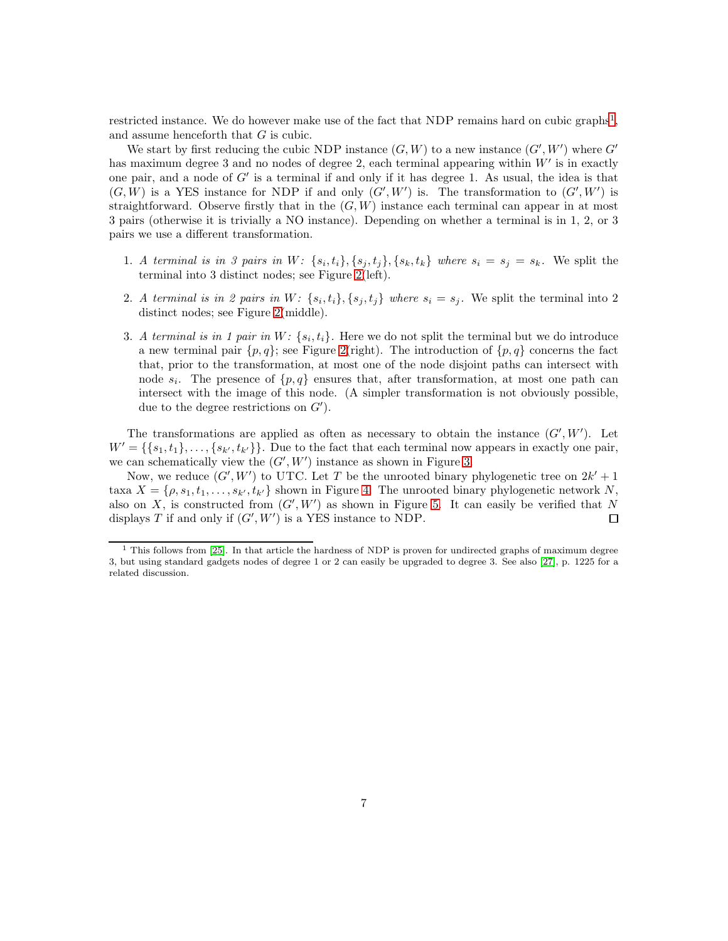restricted instance. We do however make use of the fact that NDP remains hard on cubic graphs<sup>[1](#page-6-0)</sup>, and assume henceforth that  $G$  is cubic.

We start by first reducing the cubic NDP instance  $(G, W)$  to a new instance  $(G', W')$  where  $G'$ has maximum degree 3 and no nodes of degree 2, each terminal appearing within  $W'$  is in exactly one pair, and a node of  $G'$  is a terminal if and only if it has degree 1. As usual, the idea is that  $(G, W)$  is a YES instance for NDP if and only  $(G', W')$  is. The transformation to  $(G', W')$  is straightforward. Observe firstly that in the  $(G, W)$  instance each terminal can appear in at most 3 pairs (otherwise it is trivially a NO instance). Depending on whether a terminal is in 1, 2, or 3 pairs we use a different transformation.

- 1. A terminal is in 3 pairs in W:  $\{s_i, t_i\}$ ,  $\{s_j, t_j\}$ ,  $\{s_k, t_k\}$  where  $s_i = s_j = s_k$ . We split the terminal into 3 distinct nodes; see Figure [2\(](#page-7-0)left).
- 2. A terminal is in 2 pairs in W:  $\{s_i, t_i\}, \{s_j, t_j\}$  where  $s_i = s_j$ . We split the terminal into 2 distinct nodes; see Figure [2\(](#page-7-0)middle).
- 3. A terminal is in 1 pair in W:  $\{s_i, t_i\}$ . Here we do not split the terminal but we do introduce a new terminal pair  $\{p, q\}$ ; see Figure [2\(](#page-7-0)right). The introduction of  $\{p, q\}$  concerns the fact that, prior to the transformation, at most one of the node disjoint paths can intersect with node  $s_i$ . The presence of  $\{p, q\}$  ensures that, after transformation, at most one path can intersect with the image of this node. (A simpler transformation is not obviously possible, due to the degree restrictions on  $G'$ ).

The transformations are applied as often as necessary to obtain the instance  $(G', W')$ . Let  $W' = \{\{s_1, t_1\}, \ldots, \{s_{k'}, t_{k'}\}\}\.$  Due to the fact that each terminal now appears in exactly one pair, we can schematically view the  $(G', W')$  instance as shown in Figure [3.](#page-7-1)

Now, we reduce  $(G', W')$  to UTC. Let T be the unrooted binary phylogenetic tree on  $2k' + 1$ taxa  $X = \{\rho, s_1, t_1, \ldots, s_{k'}, t_{k'}\}$  shown in Figure [4.](#page-8-0) The unrooted binary phylogenetic network N, also on X, is constructed from  $(G', W')$  as shown in Figure [5.](#page-8-1) It can easily be verified that N displays T if and only if  $(G', W')$  is a YES instance to NDP.  $\Box$ 

<span id="page-6-0"></span><sup>&</sup>lt;sup>1</sup> This follows from [\[25\]](#page-24-13). In that article the hardness of NDP is proven for undirected graphs of maximum degree 3, but using standard gadgets nodes of degree 1 or 2 can easily be upgraded to degree 3. See also [\[27\]](#page-24-14), p. 1225 for a related discussion.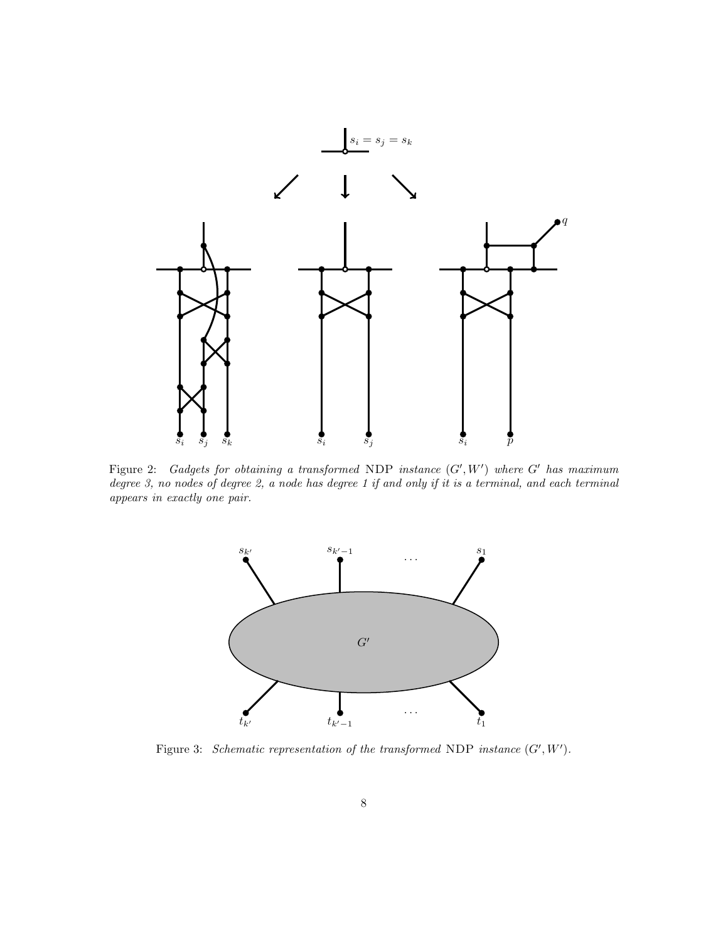<span id="page-7-0"></span>

<span id="page-7-1"></span>Figure 2: Gadgets for obtaining a transformed NDP instance  $(G', W')$  where  $G'$  has maximum degree 3, no nodes of degree 2, a node has degree 1 if and only if it is a terminal, and each terminal appears in exactly one pair.



Figure 3: Schematic representation of the transformed NDP instance  $(G', W')$ .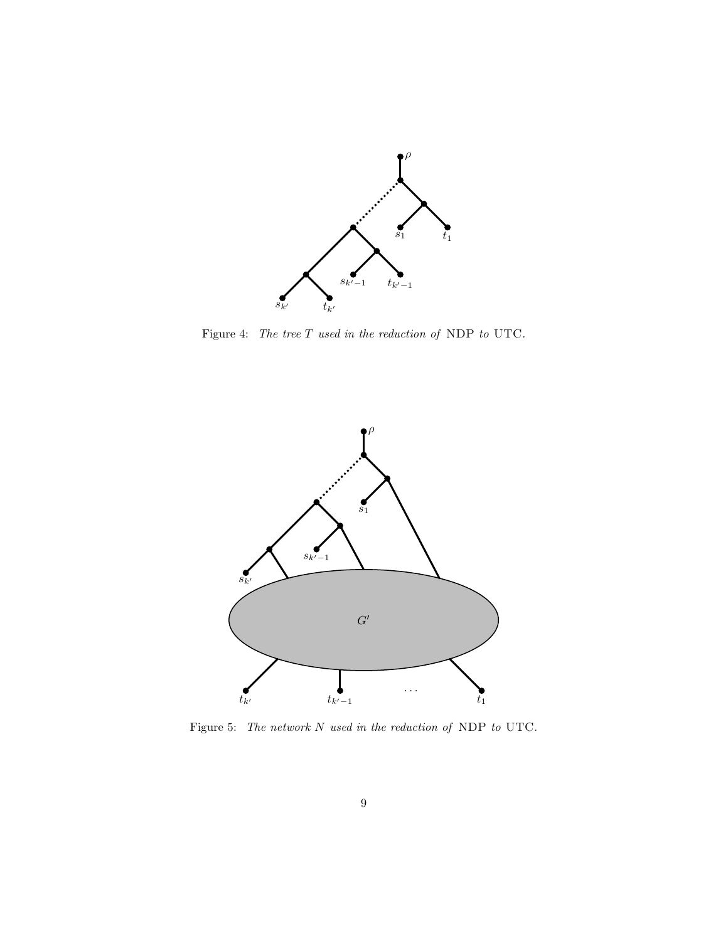<span id="page-8-0"></span>

Figure 4: The tree T used in the reduction of NDP to UTC.

<span id="page-8-1"></span>

Figure 5: The network N used in the reduction of NDP to UTC.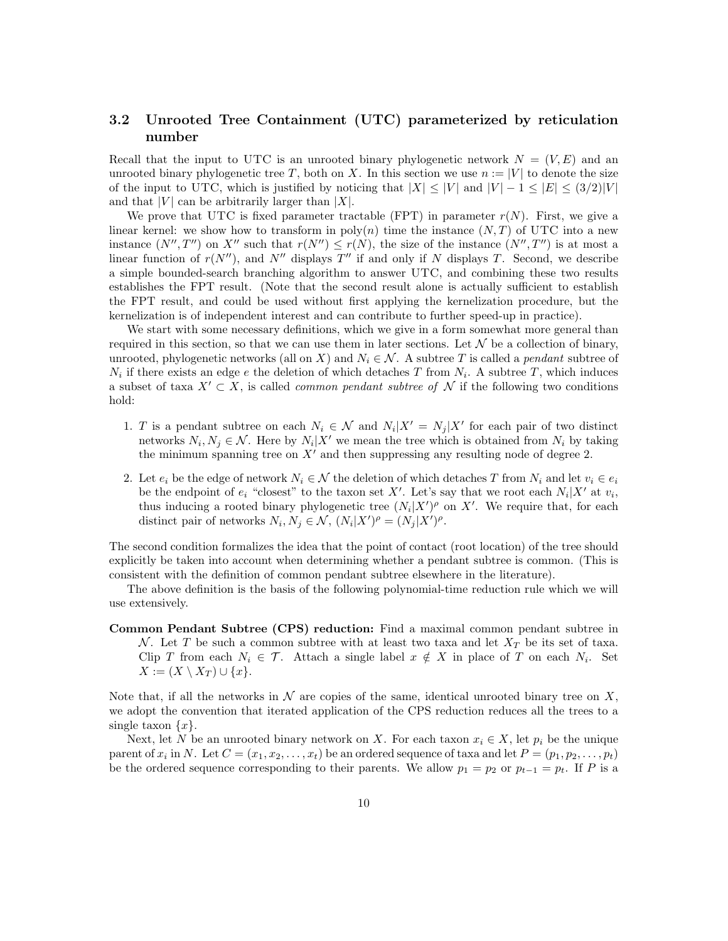#### <span id="page-9-0"></span>3.2 Unrooted Tree Containment (UTC) parameterized by reticulation number

Recall that the input to UTC is an unrooted binary phylogenetic network  $N = (V, E)$  and an unrooted binary phylogenetic tree T, both on X. In this section we use  $n := |V|$  to denote the size of the input to UTC, which is justified by noticing that  $|X| \leq |V|$  and  $|V| - 1 \leq |E| \leq (3/2)|V|$ and that  $|V|$  can be arbitrarily larger than  $|X|$ .

We prove that UTC is fixed parameter tractable (FPT) in parameter  $r(N)$ . First, we give a linear kernel: we show how to transform in  $poly(n)$  time the instance  $(N, T)$  of UTC into a new instance  $(N'',T'')$  on  $X''$  such that  $r(N'') \leq r(N)$ , the size of the instance  $(N'',T'')$  is at most a linear function of  $r(N'')$ , and N'' displays T'' if and only if N displays T. Second, we describe a simple bounded-search branching algorithm to answer UTC, and combining these two results establishes the FPT result. (Note that the second result alone is actually sufficient to establish the FPT result, and could be used without first applying the kernelization procedure, but the kernelization is of independent interest and can contribute to further speed-up in practice).

We start with some necessary definitions, which we give in a form somewhat more general than required in this section, so that we can use them in later sections. Let  $\mathcal N$  be a collection of binary, unrooted, phylogenetic networks (all on X) and  $N_i \in \mathcal{N}$ . A subtree T is called a *pendant* subtree of  $N_i$  if there exists an edge e the deletion of which detaches T from  $N_i$ . A subtree T, which induces a subset of taxa  $X' \subset X$ , is called *common pendant subtree of* N if the following two conditions hold:

- 1. T is a pendant subtree on each  $N_i \in \mathcal{N}$  and  $N_i | X' = N_j | X'$  for each pair of two distinct networks  $N_i, N_j \in \mathcal{N}$ . Here by  $N_i | X'$  we mean the tree which is obtained from  $N_i$  by taking the minimum spanning tree on  $X'$  and then suppressing any resulting node of degree 2.
- 2. Let  $e_i$  be the edge of network  $N_i \in \mathcal{N}$  the deletion of which detaches T from  $N_i$  and let  $v_i \in e_i$ be the endpoint of  $e_i$  "closest" to the taxon set X'. Let's say that we root each  $N_i|X'$  at  $v_i$ , thus inducing a rooted binary phylogenetic tree  $(N_i|X')^\rho$  on X'. We require that, for each distinct pair of networks  $N_i, N_j \in \mathcal{N}, (N_i|X')^{\rho} = (N_j|X')^{\rho}$ .

The second condition formalizes the idea that the point of contact (root location) of the tree should explicitly be taken into account when determining whether a pendant subtree is common. (This is consistent with the definition of common pendant subtree elsewhere in the literature).

The above definition is the basis of the following polynomial-time reduction rule which we will use extensively.

Common Pendant Subtree (CPS) reduction: Find a maximal common pendant subtree in N. Let T be such a common subtree with at least two taxa and let  $X_T$  be its set of taxa. Clip T from each  $N_i \in \mathcal{T}$ . Attach a single label  $x \notin X$  in place of T on each  $N_i$ . Set  $X := (X \setminus X_T) \cup \{x\}.$ 

Note that, if all the networks in  $\mathcal N$  are copies of the same, identical unrooted binary tree on  $X$ , we adopt the convention that iterated application of the CPS reduction reduces all the trees to a single taxon  $\{x\}.$ 

Next, let N be an unrooted binary network on X. For each taxon  $x_i \in X$ , let  $p_i$  be the unique parent of  $x_i$  in N. Let  $C = (x_1, x_2, \ldots, x_t)$  be an ordered sequence of taxa and let  $P = (p_1, p_2, \ldots, p_t)$ be the ordered sequence corresponding to their parents. We allow  $p_1 = p_2$  or  $p_{t-1} = p_t$ . If P is a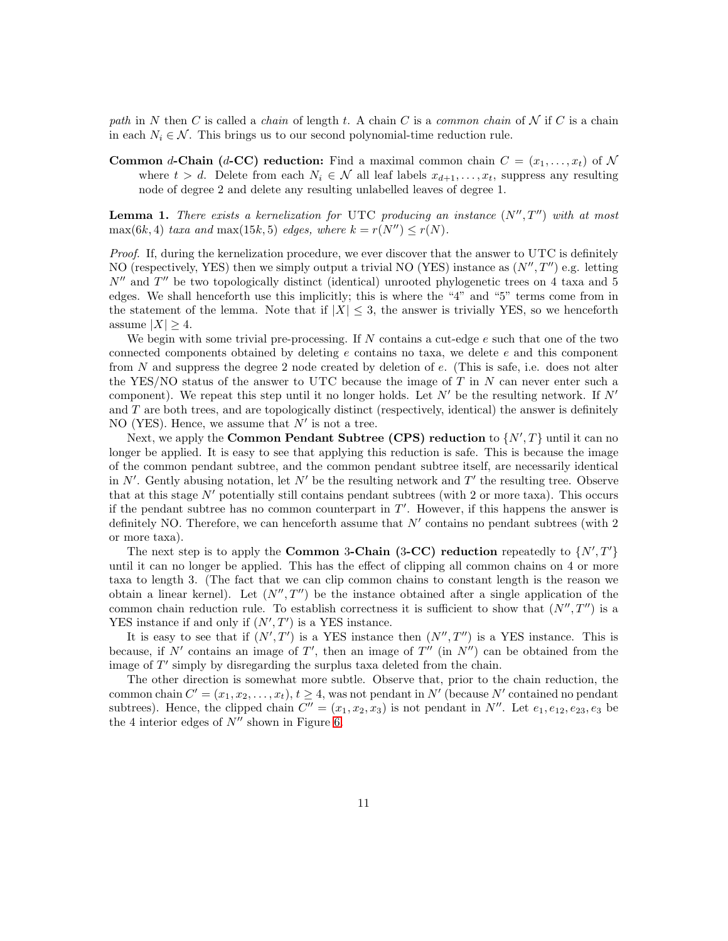path in N then C is called a *chain* of length t. A chain C is a *common chain* of N if C is a chain in each  $N_i \in \mathcal{N}$ . This brings us to our second polynomial-time reduction rule.

Common d-Chain (d-CC) reduction: Find a maximal common chain  $C = (x_1, \ldots, x_t)$  of N where  $t > d$ . Delete from each  $N_i \in \mathcal{N}$  all leaf labels  $x_{d+1}, \ldots, x_t$ , suppress any resulting node of degree 2 and delete any resulting unlabelled leaves of degree 1.

**Lemma 1.** There exists a kernelization for UTC producing an instance  $(N'', T'')$  with at most  $\max(6k, 4)$  taxa and  $\max(15k, 5)$  edges, where  $k = r(N'') \le r(N)$ .

Proof. If, during the kernelization procedure, we ever discover that the answer to UTC is definitely NO (respectively, YES) then we simply output a trivial NO (YES) instance as  $(N'', T'')$  e.g. letting  $N''$  and  $T''$  be two topologically distinct (identical) unrooted phylogenetic trees on 4 taxa and 5 edges. We shall henceforth use this implicitly; this is where the "4" and "5" terms come from in the statement of the lemma. Note that if  $|X| \leq 3$ , the answer is trivially YES, so we henceforth assume  $|X| \geq 4$ .

We begin with some trivial pre-processing. If N contains a cut-edge  $e$  such that one of the two connected components obtained by deleting  $e$  contains no taxa, we delete  $e$  and this component from N and suppress the degree 2 node created by deletion of  $e$ . (This is safe, i.e. does not alter the YES/NO status of the answer to UTC because the image of  $T$  in  $N$  can never enter such a component). We repeat this step until it no longer holds. Let  $N'$  be the resulting network. If  $N'$ and  $T$  are both trees, and are topologically distinct (respectively, identical) the answer is definitely NO (YES). Hence, we assume that  $N'$  is not a tree.

Next, we apply the Common Pendant Subtree (CPS) reduction to  $\{N',T\}$  until it can no longer be applied. It is easy to see that applying this reduction is safe. This is because the image of the common pendant subtree, and the common pendant subtree itself, are necessarily identical in N'. Gently abusing notation, let  $N'$  be the resulting network and  $T'$  the resulting tree. Observe that at this stage  $N'$  potentially still contains pendant subtrees (with 2 or more taxa). This occurs if the pendant subtree has no common counterpart in  $T'$ . However, if this happens the answer is definitely NO. Therefore, we can henceforth assume that  $N'$  contains no pendant subtrees (with 2 or more taxa).

The next step is to apply the **Common 3-Chain** (3-CC) reduction repeatedly to  $\{N',T'\}$ until it can no longer be applied. This has the effect of clipping all common chains on 4 or more taxa to length 3. (The fact that we can clip common chains to constant length is the reason we obtain a linear kernel). Let  $(N'', T'')$  be the instance obtained after a single application of the common chain reduction rule. To establish correctness it is sufficient to show that  $(N'', T'')$  is a YES instance if and only if  $(N', T')$  is a YES instance.

It is easy to see that if  $(N',T')$  is a YES instance then  $(N'',T'')$  is a YES instance. This is because, if N' contains an image of T', then an image of T'' (in  $N''$ ) can be obtained from the image of T' simply by disregarding the surplus taxa deleted from the chain.

The other direction is somewhat more subtle. Observe that, prior to the chain reduction, the common chain  $C' = (x_1, x_2, \ldots, x_t), t \ge 4$ , was not pendant in N' (because N' contained no pendant subtrees). Hence, the clipped chain  $C'' = (x_1, x_2, x_3)$  is not pendant in N''. Let  $e_1, e_{12}, e_{23}, e_3$  be the 4 interior edges of  $N''$  shown in Figure [6.](#page-11-0)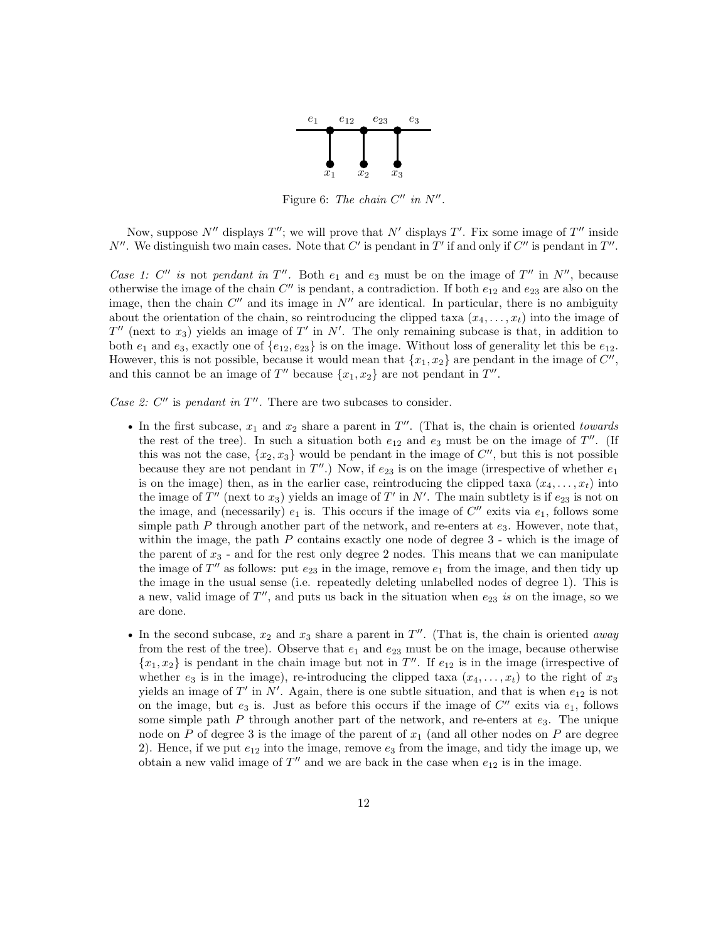

Figure 6: The chain  $C''$  in  $N''$ .

<span id="page-11-0"></span>Now, suppose N'' displays T''; we will prove that N' displays T'. Fix some image of T'' inside N''. We distinguish two main cases. Note that C' is pendant in T' if and only if C'' is pendant in T''.

Case 1: C'' is not pendant in  $T''$ . Both  $e_1$  and  $e_3$  must be on the image of  $T''$  in N'', because otherwise the image of the chain  $C''$  is pendant, a contradiction. If both  $e_{12}$  and  $e_{23}$  are also on the image, then the chain  $C''$  and its image in  $N''$  are identical. In particular, there is no ambiguity about the orientation of the chain, so reintroducing the clipped taxa  $(x_4, \ldots, x_t)$  into the image of  $T''$  (next to  $x_3$ ) yields an image of  $T'$  in  $N'$ . The only remaining subcase is that, in addition to both  $e_1$  and  $e_3$ , exactly one of  $\{e_{12}, e_{23}\}$  is on the image. Without loss of generality let this be  $e_{12}$ . However, this is not possible, because it would mean that  $\{x_1, x_2\}$  are pendant in the image of  $C''$ , and this cannot be an image of  $T''$  because  $\{x_1, x_2\}$  are not pendant in  $T''$ .

Case 2:  $C''$  is pendant in  $T''$ . There are two subcases to consider.

- In the first subcase,  $x_1$  and  $x_2$  share a parent in  $T''$ . (That is, the chain is oriented *towards* the rest of the tree). In such a situation both  $e_{12}$  and  $e_3$  must be on the image of T''. (If this was not the case,  $\{x_2, x_3\}$  would be pendant in the image of  $C''$ , but this is not possible because they are not pendant in  $T''$ .) Now, if  $e_{23}$  is on the image (irrespective of whether  $e_1$ is on the image) then, as in the earlier case, reintroducing the clipped taxa  $(x_4, \ldots, x_t)$  into the image of  $T''$  (next to  $x_3$ ) yields an image of T' in N'. The main subtlety is if  $e_{23}$  is not on the image, and (necessarily)  $e_1$  is. This occurs if the image of  $C''$  exits via  $e_1$ , follows some simple path  $P$  through another part of the network, and re-enters at  $e_3$ . However, note that, within the image, the path  $P$  contains exactly one node of degree  $3$  - which is the image of the parent of  $x_3$  - and for the rest only degree 2 nodes. This means that we can manipulate the image of  $T''$  as follows: put  $e_{23}$  in the image, remove  $e_1$  from the image, and then tidy up the image in the usual sense (i.e. repeatedly deleting unlabelled nodes of degree 1). This is a new, valid image of  $T''$ , and puts us back in the situation when  $e_{23}$  is on the image, so we are done.
- In the second subcase,  $x_2$  and  $x_3$  share a parent in  $T''$ . (That is, the chain is oriented *away* from the rest of the tree). Observe that  $e_1$  and  $e_{23}$  must be on the image, because otherwise  ${x_1, x_2}$  is pendant in the chain image but not in  $T''$ . If  $e_{12}$  is in the image (irrespective of whether  $e_3$  is in the image), re-introducing the clipped taxa  $(x_4, \ldots, x_t)$  to the right of  $x_3$ yields an image of T' in  $N'$ . Again, there is one subtle situation, and that is when  $e_{12}$  is not on the image, but  $e_3$  is. Just as before this occurs if the image of  $C''$  exits via  $e_1$ , follows some simple path P through another part of the network, and re-enters at  $e_3$ . The unique node on P of degree 3 is the image of the parent of  $x_1$  (and all other nodes on P are degree 2). Hence, if we put  $e_{12}$  into the image, remove  $e_3$  from the image, and tidy the image up, we obtain a new valid image of  $T''$  and we are back in the case when  $e_{12}$  is in the image.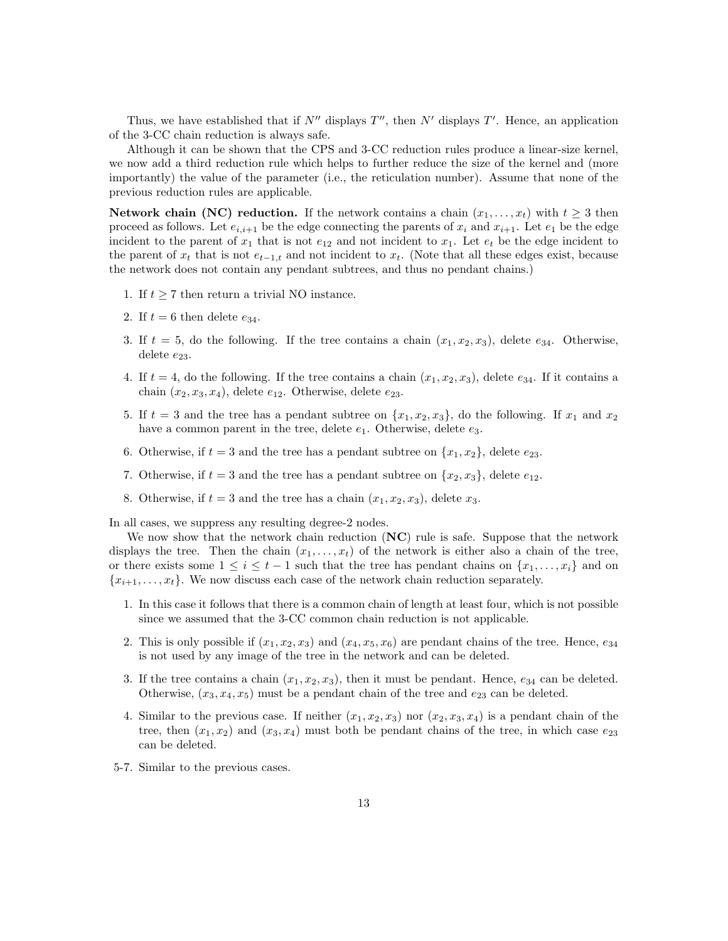Thus, we have established that if  $N''$  displays  $T''$ , then  $N'$  displays  $T'$ . Hence, an application of the 3-CC chain reduction is always safe.

Although it can be shown that the CPS and 3-CC reduction rules produce a linear-size kernel, we now add a third reduction rule which helps to further reduce the size of the kernel and (more importantly) the value of the parameter (i.e., the reticulation number). Assume that none of the previous reduction rules are applicable.

**Network chain (NC) reduction.** If the network contains a chain  $(x_1, \ldots, x_t)$  with  $t \geq 3$  then proceed as follows. Let  $e_{i,i+1}$  be the edge connecting the parents of  $x_i$  and  $x_{i+1}$ . Let  $e_1$  be the edge incident to the parent of  $x_1$  that is not  $e_{12}$  and not incident to  $x_1$ . Let  $e_t$  be the edge incident to the parent of  $x_t$  that is not  $e_{t-1,t}$  and not incident to  $x_t$ . (Note that all these edges exist, because the network does not contain any pendant subtrees, and thus no pendant chains.)

- 1. If  $t \geq 7$  then return a trivial NO instance.
- 2. If  $t = 6$  then delete  $e_{34}$ .
- 3. If  $t = 5$ , do the following. If the tree contains a chain  $(x_1, x_2, x_3)$ , delete  $e_{34}$ . Otherwise, delete  $e_{23}$ .
- 4. If  $t = 4$ , do the following. If the tree contains a chain  $(x_1, x_2, x_3)$ , delete  $e_{34}$ . If it contains a chain  $(x_2, x_3, x_4)$ , delete  $e_{12}$ . Otherwise, delete  $e_{23}$ .
- 5. If  $t = 3$  and the tree has a pendant subtree on  $\{x_1, x_2, x_3\}$ , do the following. If  $x_1$  and  $x_2$ have a common parent in the tree, delete  $e_1$ . Otherwise, delete  $e_3$ .
- 6. Otherwise, if  $t = 3$  and the tree has a pendant subtree on  $\{x_1, x_2\}$ , delete  $e_{23}$ .
- 7. Otherwise, if  $t = 3$  and the tree has a pendant subtree on  $\{x_2, x_3\}$ , delete  $e_{12}$ .
- 8. Otherwise, if  $t = 3$  and the tree has a chain  $(x_1, x_2, x_3)$ , delete  $x_3$ .

In all cases, we suppress any resulting degree-2 nodes.

We now show that the network chain reduction (NC) rule is safe. Suppose that the network displays the tree. Then the chain  $(x_1, \ldots, x_t)$  of the network is either also a chain of the tree, or there exists some  $1 \leq i \leq t-1$  such that the tree has pendant chains on  $\{x_1, \ldots, x_i\}$  and on  ${x_{i+1}, \ldots, x_t}$ . We now discuss each case of the network chain reduction separately.

- 1. In this case it follows that there is a common chain of length at least four, which is not possible since we assumed that the 3-CC common chain reduction is not applicable.
- 2. This is only possible if  $(x_1, x_2, x_3)$  and  $(x_4, x_5, x_6)$  are pendant chains of the tree. Hence,  $e_{34}$ is not used by any image of the tree in the network and can be deleted.
- 3. If the tree contains a chain  $(x_1, x_2, x_3)$ , then it must be pendant. Hence,  $e_{34}$  can be deleted. Otherwise,  $(x_3, x_4, x_5)$  must be a pendant chain of the tree and  $e_{23}$  can be deleted.
- 4. Similar to the previous case. If neither  $(x_1, x_2, x_3)$  nor  $(x_2, x_3, x_4)$  is a pendant chain of the tree, then  $(x_1, x_2)$  and  $(x_3, x_4)$  must both be pendant chains of the tree, in which case  $e_{23}$ can be deleted.
- 5-7. Similar to the previous cases.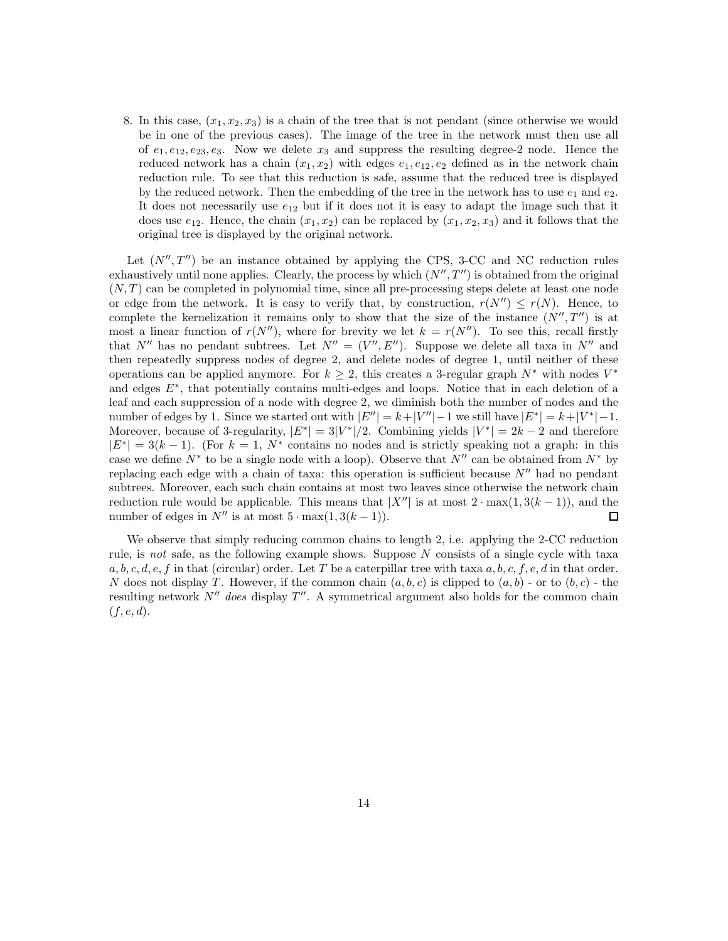8. In this case,  $(x_1, x_2, x_3)$  is a chain of the tree that is not pendant (since otherwise we would be in one of the previous cases). The image of the tree in the network must then use all of  $e_1, e_{12}, e_{23}, e_3$ . Now we delete  $x_3$  and suppress the resulting degree-2 node. Hence the reduced network has a chain  $(x_1, x_2)$  with edges  $e_1, e_{12}, e_2$  defined as in the network chain reduction rule. To see that this reduction is safe, assume that the reduced tree is displayed by the reduced network. Then the embedding of the tree in the network has to use  $e_1$  and  $e_2$ . It does not necessarily use  $e_{12}$  but if it does not it is easy to adapt the image such that it does use  $e_{12}$ . Hence, the chain  $(x_1, x_2)$  can be replaced by  $(x_1, x_2, x_3)$  and it follows that the original tree is displayed by the original network.

Let  $(N'', T'')$  be an instance obtained by applying the CPS, 3-CC and NC reduction rules exhaustively until none applies. Clearly, the process by which  $(N'', T'')$  is obtained from the original  $(N, T)$  can be completed in polynomial time, since all pre-processing steps delete at least one node or edge from the network. It is easy to verify that, by construction,  $r(N'') \leq r(N)$ . Hence, to complete the kernelization it remains only to show that the size of the instance  $(N'', T'')$  is at most a linear function of  $r(N'')$ , where for brevity we let  $k = r(N'')$ . To see this, recall firstly that N'' has no pendant subtrees. Let  $N'' = (V'', E'')$ . Suppose we delete all taxa in N'' and then repeatedly suppress nodes of degree 2, and delete nodes of degree 1, until neither of these operations can be applied anymore. For  $k \geq 2$ , this creates a 3-regular graph  $N^*$  with nodes  $V^*$ and edges  $E^*$ , that potentially contains multi-edges and loops. Notice that in each deletion of a leaf and each suppression of a node with degree 2, we diminish both the number of nodes and the number of edges by 1. Since we started out with  $|E''| = k + |V''| - 1$  we still have  $|E^*| = k + |V^*| - 1$ . Moreover, because of 3-regularity,  $|E^*| = 3|V^*|/2$ . Combining yields  $|V^*| = 2k - 2$  and therefore  $|E^*| = 3(k-1)$ . (For  $k = 1, N^*$  contains no nodes and is strictly speaking not a graph: in this case we define  $N^*$  to be a single node with a loop). Observe that  $N''$  can be obtained from  $N^*$  by replacing each edge with a chain of taxa: this operation is sufficient because  $N''$  had no pendant subtrees. Moreover, each such chain contains at most two leaves since otherwise the network chain reduction rule would be applicable. This means that  $|X''|$  is at most  $2 \cdot \max(1, 3(k-1))$ , and the number of edges in  $N''$  is at most  $5 \cdot \max(1, 3(k-1)).$  $\Box$ 

We observe that simply reducing common chains to length 2, i.e. applying the 2-CC reduction rule, is not safe, as the following example shows. Suppose  $N$  consists of a single cycle with taxa  $a, b, c, d, e, f$  in that (circular) order. Let T be a caterpillar tree with taxa  $a, b, c, f, e, d$  in that order. N does not display T. However, if the common chain  $(a, b, c)$  is clipped to  $(a, b)$  - or to  $(b, c)$  - the resulting network  $N''$  does display  $T''$ . A symmetrical argument also holds for the common chain  $(f, e, d)$ .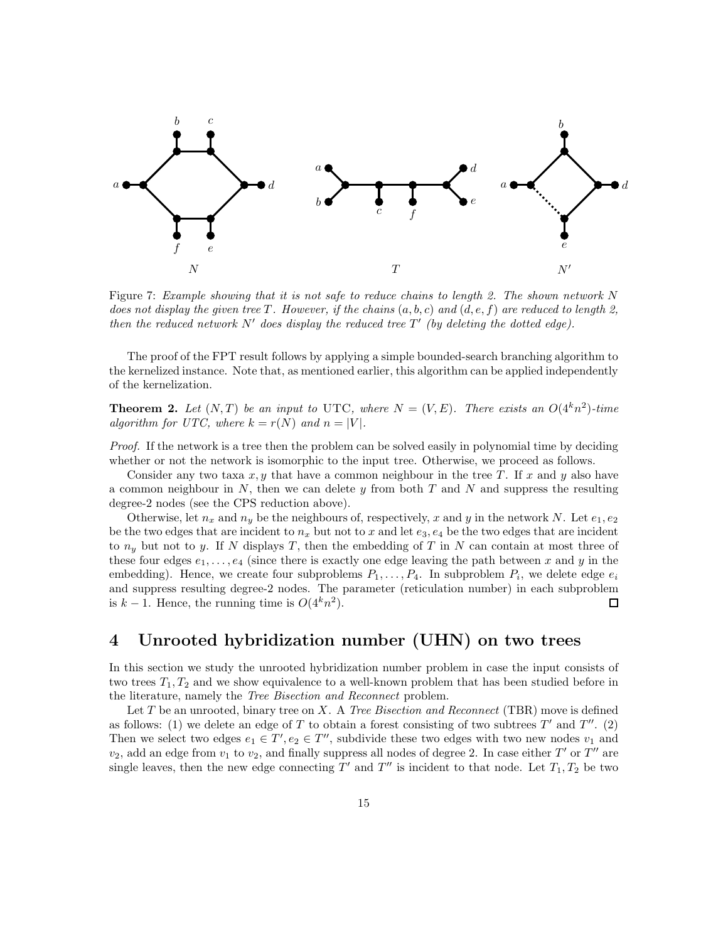

Figure 7: Example showing that it is not safe to reduce chains to length 2. The shown network N does not display the given tree T. However, if the chains  $(a, b, c)$  and  $(d, e, f)$  are reduced to length 2, then the reduced network  $N'$  does display the reduced tree  $T'$  (by deleting the dotted edge).

The proof of the FPT result follows by applying a simple bounded-search branching algorithm to the kernelized instance. Note that, as mentioned earlier, this algorithm can be applied independently of the kernelization.

**Theorem 2.** Let  $(N, T)$  be an input to UTC, where  $N = (V, E)$ . There exists an  $O(4<sup>k</sup>n<sup>2</sup>)$ -time algorithm for UTC, where  $k = r(N)$  and  $n = |V|$ .

Proof. If the network is a tree then the problem can be solved easily in polynomial time by deciding whether or not the network is isomorphic to the input tree. Otherwise, we proceed as follows.

Consider any two taxa  $x, y$  that have a common neighbour in the tree T. If x and y also have a common neighbour in  $N$ , then we can delete  $y$  from both  $T$  and  $N$  and suppress the resulting degree-2 nodes (see the CPS reduction above).

Otherwise, let  $n_x$  and  $n_y$  be the neighbours of, respectively, x and y in the network N. Let  $e_1, e_2$ be the two edges that are incident to  $n_x$  but not to x and let  $e_3, e_4$  be the two edges that are incident to  $n_y$  but not to y. If N displays T, then the embedding of T in N can contain at most three of these four edges  $e_1, \ldots, e_4$  (since there is exactly one edge leaving the path between x and y in the embedding). Hence, we create four subproblems  $P_1, \ldots, P_4$ . In subproblem  $P_i$ , we delete edge  $e_i$ and suppress resulting degree-2 nodes. The parameter (reticulation number) in each subproblem is  $k-1$ . Hence, the running time is  $O(4^k n^2)$ .  $\Box$ 

### <span id="page-14-0"></span>4 Unrooted hybridization number (UHN) on two trees

In this section we study the unrooted hybridization number problem in case the input consists of two trees  $T_1, T_2$  and we show equivalence to a well-known problem that has been studied before in the literature, namely the Tree Bisection and Reconnect problem.

Let T be an unrooted, binary tree on X. A Tree Bisection and Reconnect (TBR) move is defined as follows: (1) we delete an edge of T to obtain a forest consisting of two subtrees  $T'$  and  $T''$ . (2) Then we select two edges  $e_1 \in T'$ ,  $e_2 \in T''$ , subdivide these two edges with two new nodes  $v_1$  and  $v_2$ , add an edge from  $v_1$  to  $v_2$ , and finally suppress all nodes of degree 2. In case either T' or T'' are single leaves, then the new edge connecting  $T'$  and  $T''$  is incident to that node. Let  $T_1, T_2$  be two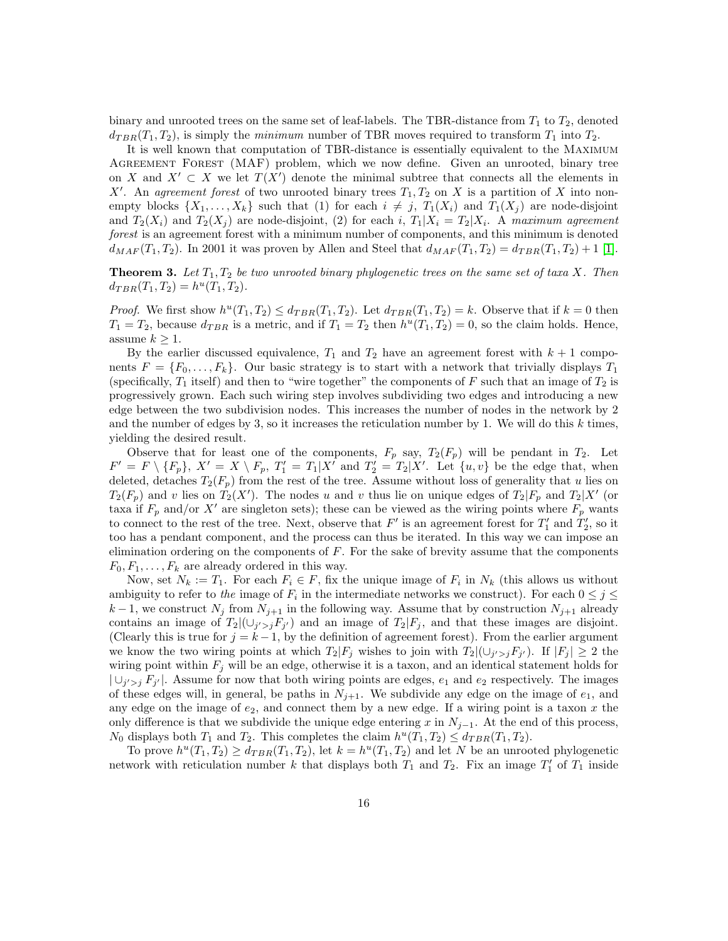binary and unrooted trees on the same set of leaf-labels. The TBR-distance from  $T_1$  to  $T_2$ , denoted  $d_{TBR}(T_1, T_2)$ , is simply the minimum number of TBR moves required to transform  $T_1$  into  $T_2$ .

It is well known that computation of TBR-distance is essentially equivalent to the Maximum Agreement Forest (MAF) problem, which we now define. Given an unrooted, binary tree on X and  $X' \subset X$  we let  $T(X')$  denote the minimal subtree that connects all the elements in X'. An agreement forest of two unrooted binary trees  $T_1, T_2$  on X is a partition of X into nonempty blocks  $\{X_1, \ldots, X_k\}$  such that (1) for each  $i \neq j$ ,  $T_1(X_i)$  and  $T_1(X_j)$  are node-disjoint and  $T_2(X_i)$  and  $T_2(X_j)$  are node-disjoint, (2) for each i,  $T_1|X_i = T_2|X_i$ . A maximum agreement forest is an agreement forest with a minimum number of components, and this minimum is denoted  $d_{MAF}(T_1, T_2)$ . In 2001 it was proven by Allen and Steel that  $d_{MAF}(T_1, T_2) = d_{TBR}(T_1, T_2) + 1$  [\[1\]](#page-23-10).

<span id="page-15-0"></span>**Theorem 3.** Let  $T_1, T_2$  be two unrooted binary phylogenetic trees on the same set of taxa X. Then  $d_{TBR}(T_1, T_2) = h^u(T_1, T_2).$ 

*Proof.* We first show  $h^u(T_1, T_2) \leq d_{TBR}(T_1, T_2)$ . Let  $d_{TBR}(T_1, T_2) = k$ . Observe that if  $k = 0$  then  $T_1 = T_2$ , because  $d_{TBR}$  is a metric, and if  $T_1 = T_2$  then  $h^u(T_1, T_2) = 0$ , so the claim holds. Hence, assume  $k \geq 1$ .

By the earlier discussed equivalence,  $T_1$  and  $T_2$  have an agreement forest with  $k+1$  components  $F = \{F_0, \ldots, F_k\}$ . Our basic strategy is to start with a network that trivially displays  $T_1$ (specifically,  $T_1$  itself) and then to "wire together" the components of F such that an image of  $T_2$  is progressively grown. Each such wiring step involves subdividing two edges and introducing a new edge between the two subdivision nodes. This increases the number of nodes in the network by 2 and the number of edges by 3, so it increases the reticulation number by 1. We will do this  $k$  times, yielding the desired result.

Observe that for least one of the components,  $F_p$  say,  $T_2(F_p)$  will be pendant in  $T_2$ . Let  $F' = F \setminus \{F_p\}, X' = X \setminus F_p, T_1' = T_1 | X'$  and  $T_2' = T_2 | X'$ . Let  $\{u, v\}$  be the edge that, when deleted, detaches  $T_2(F_p)$  from the rest of the tree. Assume without loss of generality that u lies on  $T_2(F_p)$  and v lies on  $T_2(X')$ . The nodes u and v thus lie on unique edges of  $T_2|F_p$  and  $T_2|X'$  (or taxa if  $F_p$  and/or X' are singleton sets); these can be viewed as the wiring points where  $F_p$  wants to connect to the rest of the tree. Next, observe that  $F'$  is an agreement forest for  $T'_1$  and  $T'_2$ , so it too has a pendant component, and the process can thus be iterated. In this way we can impose an elimination ordering on the components of  $F$ . For the sake of brevity assume that the components  $F_0, F_1, \ldots, F_k$  are already ordered in this way.

Now, set  $N_k := T_1$ . For each  $F_i \in F$ , fix the unique image of  $F_i$  in  $N_k$  (this allows us without ambiguity to refer to the image of  $F_i$  in the intermediate networks we construct). For each  $0 \leq j \leq$  $k-1$ , we construct  $N_j$  from  $N_{j+1}$  in the following way. Assume that by construction  $N_{j+1}$  already contains an image of  $T_2 |(U_{j' > j} F_{j'})$  and an image of  $T_2 | F_j$ , and that these images are disjoint. (Clearly this is true for  $j = k - 1$ , by the definition of agreement forest). From the earlier argument we know the two wiring points at which  $T_2|F_j$  wishes to join with  $T_2|(\cup_{j'>j} F_{j'})$ . If  $|F_j| \geq 2$  the wiring point within  $F_j$  will be an edge, otherwise it is a taxon, and an identical statement holds for  $|\cup_{j'>j} F_{j'}|$ . Assume for now that both wiring points are edges,  $e_1$  and  $e_2$  respectively. The images of these edges will, in general, be paths in  $N_{j+1}$ . We subdivide any edge on the image of  $e_1$ , and any edge on the image of  $e_2$ , and connect them by a new edge. If a wiring point is a taxon x the only difference is that we subdivide the unique edge entering x in  $N_{j-1}$ . At the end of this process,  $N_0$  displays both  $T_1$  and  $T_2$ . This completes the claim  $h^u(T_1, T_2) \leq d_{TBR}(T_1, T_2)$ .

To prove  $h^u(T_1, T_2) \geq d_{TBR}(T_1, T_2)$ , let  $k = h^u(T_1, T_2)$  and let N be an unrooted phylogenetic network with reticulation number k that displays both  $T_1$  and  $T_2$ . Fix an image  $T_1'$  of  $T_1$  inside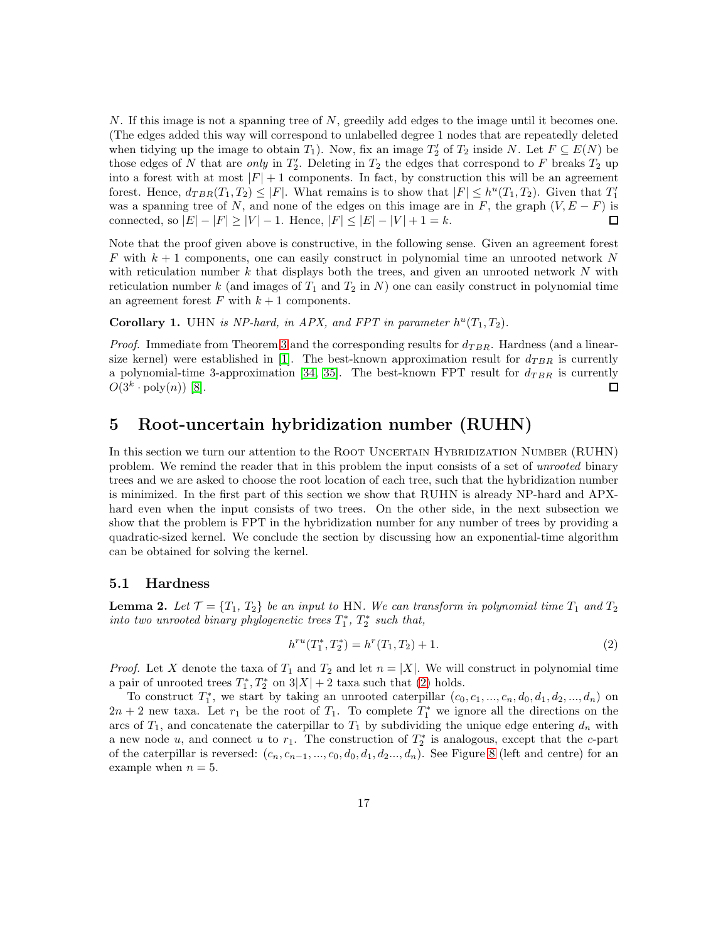N. If this image is not a spanning tree of  $N$ , greedily add edges to the image until it becomes one. (The edges added this way will correspond to unlabelled degree 1 nodes that are repeatedly deleted when tidying up the image to obtain  $T_1$ ). Now, fix an image  $T_2'$  of  $T_2$  inside N. Let  $F \subseteq E(N)$  be those edges of N that are *only* in  $T_2'$ . Deleting in  $T_2$  the edges that correspond to F breaks  $T_2$  up into a forest with at most  $|F| + 1$  components. In fact, by construction this will be an agreement forest. Hence,  $d_{TBR}(T_1, T_2) \leq |F|$ . What remains is to show that  $|F| \leq h^u(T_1, T_2)$ . Given that  $T_1'$ was a spanning tree of N, and none of the edges on this image are in F, the graph  $(V, E - F)$  is connected, so  $|E| - |F| \ge |V| - 1$ . Hence,  $|F| \le |E| - |V| + 1 = k$ . П

Note that the proof given above is constructive, in the following sense. Given an agreement forest  $F$  with  $k + 1$  components, one can easily construct in polynomial time an unrooted network  $N$ with reticulation number  $k$  that displays both the trees, and given an unrooted network  $N$  with reticulation number  $k$  (and images of  $T_1$  and  $T_2$  in  $N$ ) one can easily construct in polynomial time an agreement forest  $F$  with  $k+1$  components.

Corollary 1. UHN is NP-hard, in APX, and FPT in parameter  $h^u(T_1, T_2)$ .

*Proof.* Immediate from Theorem [3](#page-15-0) and the corresponding results for  $d_{TBR}$ . Hardness (and a linear-size kernel) were established in [\[1\]](#page-23-10). The best-known approximation result for  $d_{TBR}$  is currently a polynomial-time 3-approximation [\[34,](#page-25-2) [35\]](#page-25-3). The best-known FPT result for  $d_{TBR}$  is currently  $O(3^k \cdot \text{poly}(n))$  [\[8\]](#page-23-11). □

### <span id="page-16-0"></span>5 Root-uncertain hybridization number (RUHN)

In this section we turn our attention to the ROOT UNCERTAIN HYBRIDIZATION NUMBER (RUHN) problem. We remind the reader that in this problem the input consists of a set of unrooted binary trees and we are asked to choose the root location of each tree, such that the hybridization number is minimized. In the first part of this section we show that RUHN is already NP-hard and APXhard even when the input consists of two trees. On the other side, in the next subsection we show that the problem is FPT in the hybridization number for any number of trees by providing a quadratic-sized kernel. We conclude the section by discussing how an exponential-time algorithm can be obtained for solving the kernel.

#### 5.1 Hardness

<span id="page-16-2"></span>**Lemma 2.** Let  $\mathcal{T} = \{T_1, T_2\}$  be an input to HN. We can transform in polynomial time  $T_1$  and  $T_2$ into two unrooted binary phylogenetic trees  $T_1^*$ ,  $T_2^*$  such that,

<span id="page-16-1"></span>
$$
h^{ru}(T_1^*, T_2^*) = h^r(T_1, T_2) + 1.
$$
\n(2)

*Proof.* Let X denote the taxa of  $T_1$  and  $T_2$  and let  $n = |X|$ . We will construct in polynomial time a pair of unrooted trees  $T_1^*, T_2^*$  on  $3|X| + 2$  taxa such that [\(2\)](#page-16-1) holds.

To construct  $T_1^*$ , we start by taking an unrooted caterpillar  $(c_0, c_1, ..., c_n, d_0, d_1, d_2, ..., d_n)$  on  $2n + 2$  new taxa. Let  $r_1$  be the root of  $T_1$ . To complete  $T_1^*$  we ignore all the directions on the arcs of  $T_1$ , and concatenate the caterpillar to  $T_1$  by subdividing the unique edge entering  $d_n$  with a new node u, and connect u to  $r_1$ . The construction of  $T_2^*$  is analogous, except that the c-part of the caterpillar is reversed:  $(c_n, c_{n-1}, ..., c_0, d_0, d_1, d_2, ..., d_n)$ . See Figure [8](#page-17-0) (left and centre) for an example when  $n = 5$ .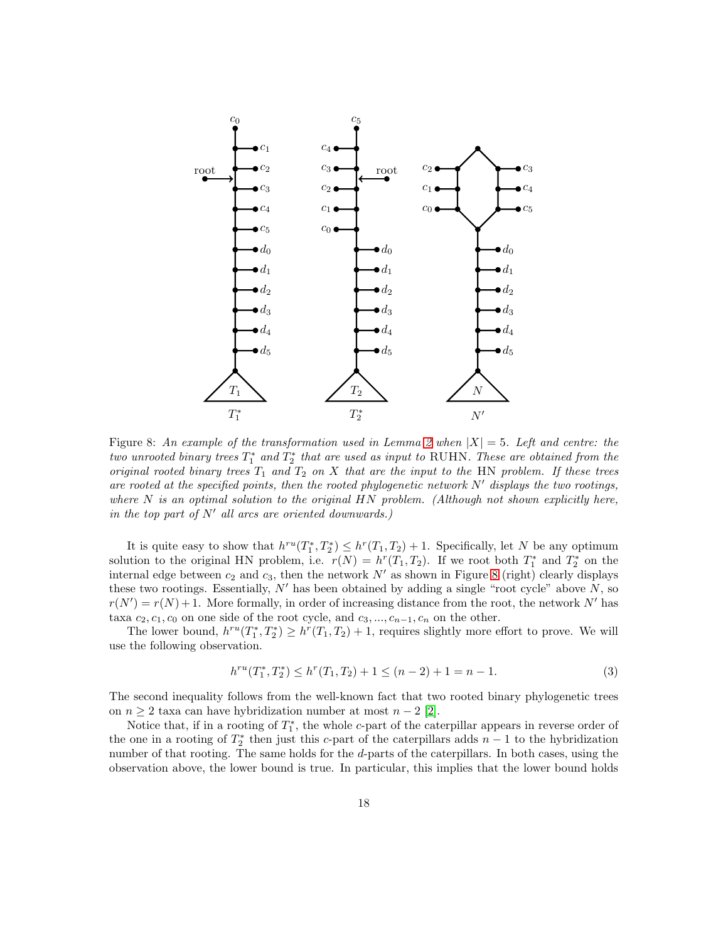<span id="page-17-0"></span>

Figure 8: An example of the transformation used in Lemma [2](#page-16-2) when  $|X| = 5$ . Left and centre: the two unrooted binary trees  $T_1^*$  and  $T_2^*$  that are used as input to RUHN. These are obtained from the original rooted binary trees  $T_1$  and  $T_2$  on X that are the input to the HN problem. If these trees are rooted at the specified points, then the rooted phylogenetic network  $N'$  displays the two rootings, where  $N$  is an optimal solution to the original  $HN$  problem. (Although not shown explicitly here, in the top part of  $N'$  all arcs are oriented downwards.)

It is quite easy to show that  $h^{ru}(T_1^*, T_2^*) \leq h^r(T_1, T_2) + 1$ . Specifically, let N be any optimum solution to the original HN problem, i.e.  $r(N) = h^r(T_1, T_2)$ . If we root both  $T_1^*$  and  $T_2^*$  on the internal edge between  $c_2$  and  $c_3$ , then the network  $N'$  as shown in Figure [8](#page-17-0) (right) clearly displays these two rootings. Essentially,  $N'$  has been obtained by adding a single "root cycle" above  $N$ , so  $r(N') = r(N) + 1$ . More formally, in order of increasing distance from the root, the network N' has taxa  $c_2, c_1, c_0$  on one side of the root cycle, and  $c_3, ..., c_{n-1}, c_n$  on the other.

The lower bound,  $h^{ru}(T_1^*, T_2^*) \geq h^r(T_1, T_2) + 1$ , requires slightly more effort to prove. We will use the following observation.

$$
h^{ru}(T_1^*, T_2^*) \le h^r(T_1, T_2) + 1 \le (n - 2) + 1 = n - 1.
$$
\n(3)

The second inequality follows from the well-known fact that two rooted binary phylogenetic trees on  $n \geq 2$  taxa can have hybridization number at most  $n-2$  [\[2\]](#page-23-14).

Notice that, if in a rooting of  $T_1^*$ , the whole c-part of the caterpillar appears in reverse order of the one in a rooting of  $T_2^*$  then just this c-part of the caterpillars adds  $n-1$  to the hybridization number of that rooting. The same holds for the d-parts of the caterpillars. In both cases, using the observation above, the lower bound is true. In particular, this implies that the lower bound holds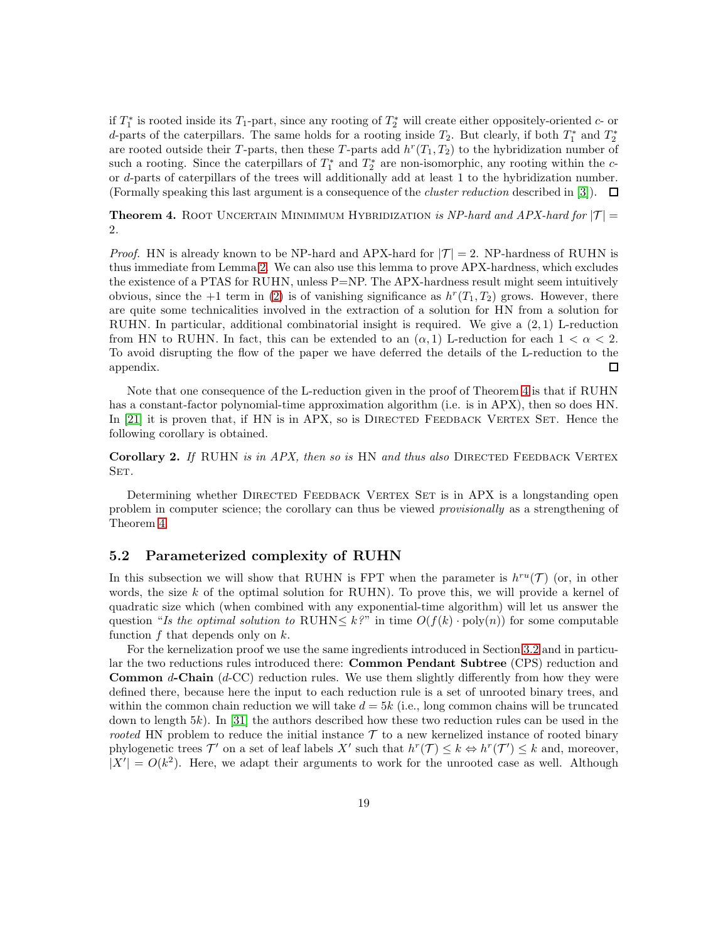if  $T_1^*$  is rooted inside its  $T_1$ -part, since any rooting of  $T_2^*$  will create either oppositely-oriented  $c$ - or d-parts of the caterpillars. The same holds for a rooting inside  $T_2$ . But clearly, if both  $T_1^*$  and  $T_2^*$ are rooted outside their T-parts, then these T-parts add  $h^{r}(T_1, T_2)$  to the hybridization number of such a rooting. Since the caterpillars of  $T_1^*$  and  $T_2^*$  are non-isomorphic, any rooting within the cor d-parts of caterpillars of the trees will additionally add at least 1 to the hybridization number. (Formally speaking this last argument is a consequence of the *cluster reduction* described in [\[3\]](#page-23-15)).  $\Box$ 

<span id="page-18-0"></span>**Theorem 4.** ROOT UNCERTAIN MINIMIMUM HYBRIDIZATION is NP-hard and APX-hard for  $|T|$  = 2.

*Proof.* HN is already known to be NP-hard and APX-hard for  $|T| = 2$ . NP-hardness of RUHN is thus immediate from Lemma [2.](#page-16-2) We can also use this lemma to prove APX-hardness, which excludes the existence of a PTAS for RUHN, unless P=NP. The APX-hardness result might seem intuitively obvious, since the  $+1$  term in [\(2\)](#page-16-1) is of vanishing significance as  $h^{r}(T_1, T_2)$  grows. However, there are quite some technicalities involved in the extraction of a solution for HN from a solution for RUHN. In particular, additional combinatorial insight is required. We give a  $(2,1)$  L-reduction from HN to RUHN. In fact, this can be extended to an  $(\alpha, 1)$  L-reduction for each  $1 < \alpha < 2$ . To avoid disrupting the flow of the paper we have deferred the details of the L-reduction to the appendix.  $\Box$ 

Note that one consequence of the L-reduction given in the proof of Theorem [4](#page-18-0) is that if RUHN has a constant-factor polynomial-time approximation algorithm (i.e. is in APX), then so does HN. In [\[21\]](#page-24-5) it is proven that, if HN is in APX, so is DIRECTED FEEDBACK VERTEX SET. Hence the following corollary is obtained.

Corollary 2. If RUHN is in APX, then so is HN and thus also DIRECTED FEEDBACK VERTEX SET.

Determining whether DIRECTED FEEDBACK VERTEX SET is in APX is a longstanding open problem in computer science; the corollary can thus be viewed provisionally as a strengthening of Theorem [4.](#page-18-0)

#### 5.2 Parameterized complexity of RUHN

In this subsection we will show that RUHN is FPT when the parameter is  $h^{ru}(\mathcal{T})$  (or, in other words, the size k of the optimal solution for  $RUHN$ ). To prove this, we will provide a kernel of quadratic size which (when combined with any exponential-time algorithm) will let us answer the question "Is the optimal solution to RUHN $\leq k$ ?" in time  $O(f(k) \cdot \text{poly}(n))$  for some computable function  $f$  that depends only on  $k$ .

For the kernelization proof we use the same ingredients introduced in Section [3.2](#page-9-0) and in particular the two reductions rules introduced there: Common Pendant Subtree (CPS) reduction and **Common**  $d$ -Chain  $(d$ -CC) reduction rules. We use them slightly differently from how they were defined there, because here the input to each reduction rule is a set of unrooted binary trees, and within the common chain reduction we will take  $d = 5k$  (i.e., long common chains will be truncated down to length 5k). In [\[31\]](#page-24-11) the authors described how these two reduction rules can be used in the rooted HN problem to reduce the initial instance  $\mathcal T$  to a new kernelized instance of rooted binary phylogenetic trees  $\mathcal{T}'$  on a set of leaf labels X' such that  $h^r(\mathcal{T}) \leq k \Leftrightarrow h^r(\mathcal{T}') \leq k$  and, moreover,  $|X'| = O(k^2)$ . Here, we adapt their arguments to work for the unrooted case as well. Although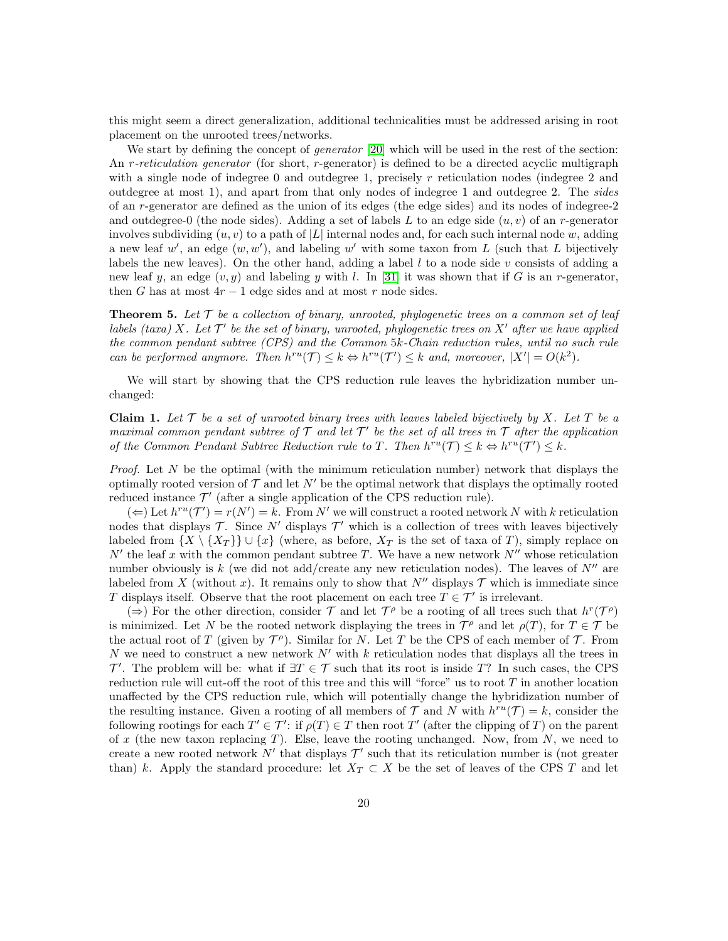this might seem a direct generalization, additional technicalities must be addressed arising in root placement on the unrooted trees/networks.

We start by defining the concept of *generator* [\[20\]](#page-24-15) which will be used in the rest of the section: An *r*-reticulation generator (for short, *r*-generator) is defined to be a directed acyclic multigraph with a single node of indegree 0 and outdegree 1, precisely  $r$  reticulation nodes (indegree 2 and outdegree at most 1), and apart from that only nodes of indegree 1 and outdegree 2. The sides of an r-generator are defined as the union of its edges (the edge sides) and its nodes of indegree-2 and outdegree-0 (the node sides). Adding a set of labels L to an edge side  $(u, v)$  of an r-generator involves subdividing  $(u, v)$  to a path of |L| internal nodes and, for each such internal node w, adding a new leaf w', an edge  $(w, w')$ , and labeling w' with some taxon from L (such that L bijectively labels the new leaves). On the other hand, adding a label  $l$  to a node side v consists of adding a new leaf y, an edge  $(v, y)$  and labeling y with l. In [\[31\]](#page-24-11) it was shown that if G is an r-generator, then G has at most  $4r - 1$  edge sides and at most r node sides.

<span id="page-19-0"></span>**Theorem 5.** Let  $\mathcal{T}$  be a collection of binary, unrooted, phylogenetic trees on a common set of leaf labels (taxa) X. Let  $\mathcal{T}'$  be the set of binary, unrooted, phylogenetic trees on X' after we have applied the common pendant subtree (CPS) and the Common 5k-Chain reduction rules, until no such rule can be performed anymore. Then  $h^{ru}(\mathcal{T}) \leq k \Leftrightarrow h^{ru}(\mathcal{T}') \leq k$  and, moreover,  $|X'| = O(k^2)$ .

We will start by showing that the CPS reduction rule leaves the hybridization number unchanged:

Claim 1. Let  $T$  be a set of unrooted binary trees with leaves labeled bijectively by X. Let  $T$  be a maximal common pendant subtree of  $\mathcal T$  and let  $\mathcal T'$  be the set of all trees in  $\mathcal T$  after the application of the Common Pendant Subtree Reduction rule to T. Then  $h^{ru}(\mathcal{T}) \leq k \Leftrightarrow h^{ru}(\mathcal{T}') \leq k$ .

*Proof.* Let  $N$  be the optimal (with the minimum reticulation number) network that displays the optimally rooted version of  $\mathcal T$  and let  $N'$  be the optimal network that displays the optimally rooted reduced instance  $\mathcal{T}'$  (after a single application of the CPS reduction rule).

 $(\Leftarrow)$  Let  $h^{ru}(\mathcal{T}') = r(N') = k$ . From N' we will construct a rooted network N with k reticulation nodes that displays  $\mathcal{T}$ . Since N' displays  $\mathcal{T}'$  which is a collection of trees with leaves bijectively labeled from  $\{X \setminus \{X_T\}\}\cup \{x\}$  (where, as before,  $X_T$  is the set of taxa of T), simply replace on N' the leaf x with the common pendant subtree T. We have a new network  $N''$  whose reticulation number obviously is k (we did not add/create any new reticulation nodes). The leaves of  $N''$  are labeled from X (without x). It remains only to show that  $N''$  displays  $\mathcal T$  which is immediate since T displays itself. Observe that the root placement on each tree  $T \in \mathcal{T}'$  is irrelevant.

 $(\Rightarrow)$  For the other direction, consider T and let  $\mathcal{T}^{\rho}$  be a rooting of all trees such that  $h^r(\mathcal{T}^{\rho})$ is minimized. Let N be the rooted network displaying the trees in  $\mathcal{T}^{\rho}$  and let  $\rho(T)$ , for  $T \in \mathcal{T}$  be the actual root of T (given by  $\mathcal{T}^{\rho}$ ). Similar for N. Let T be the CPS of each member of T. From N we need to construct a new network  $N'$  with k reticulation nodes that displays all the trees in T'. The problem will be: what if  $\exists T \in \mathcal{T}$  such that its root is inside T? In such cases, the CPS reduction rule will cut-off the root of this tree and this will "force" us to root  $T$  in another location unaffected by the CPS reduction rule, which will potentially change the hybridization number of the resulting instance. Given a rooting of all members of  $\mathcal T$  and  $N$  with  $h^{ru}(\mathcal T) = k$ , consider the following rootings for each  $T' \in \mathcal{T}'$ : if  $\rho(T) \in T$  then root  $T'$  (after the clipping of T) on the parent of x (the new taxon replacing T). Else, leave the rooting unchanged. Now, from  $N$ , we need to create a new rooted network  $N'$  that displays  $\mathcal{T}'$  such that its reticulation number is (not greater than) k. Apply the standard procedure: let  $X_T \subset X$  be the set of leaves of the CPS T and let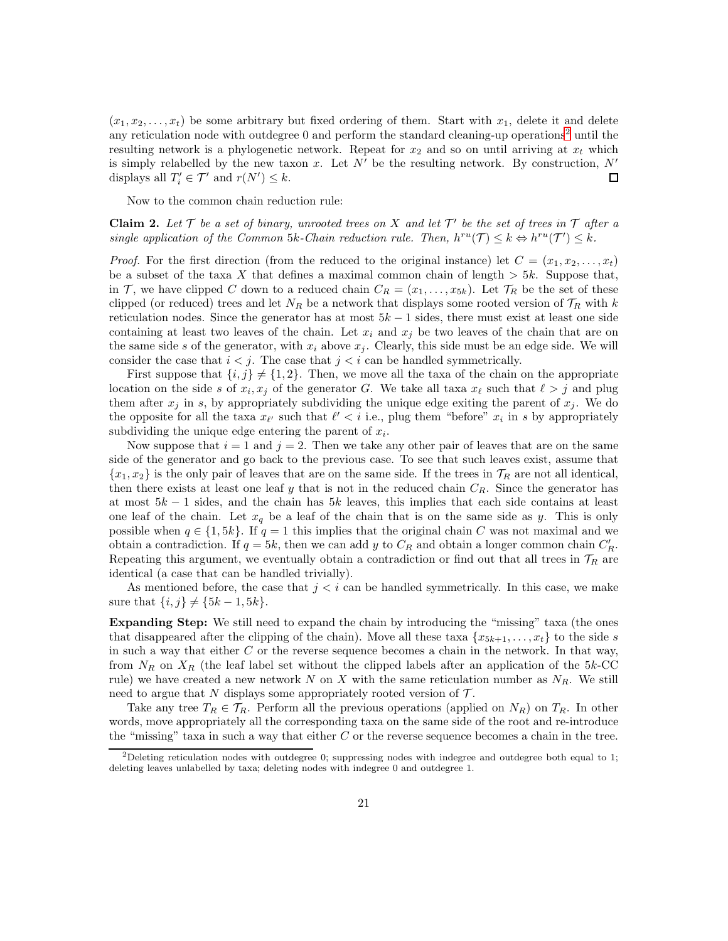$(x_1, x_2, \ldots, x_t)$  be some arbitrary but fixed ordering of them. Start with  $x_1$ , delete it and delete any reticulation node with outdegree 0 and perform the standard cleaning-up operations<sup>[2](#page-20-0)</sup> until the resulting network is a phylogenetic network. Repeat for  $x_2$  and so on until arriving at  $x_t$  which is simply relabelled by the new taxon x. Let  $N'$  be the resulting network. By construction,  $N'$ displays all  $T'_i \in \mathcal{T}'$  and  $r(N') \leq k$ . □

Now to the common chain reduction rule:

**Claim 2.** Let  $\mathcal{T}$  be a set of binary, unrooted trees on X and let  $\mathcal{T}'$  be the set of trees in  $\mathcal{T}$  after a single application of the Common 5k-Chain reduction rule. Then,  $h^{ru}(\mathcal{T}) \leq k \Leftrightarrow h^{ru}(\mathcal{T}') \leq k$ .

*Proof.* For the first direction (from the reduced to the original instance) let  $C = (x_1, x_2, \ldots, x_t)$ be a subset of the taxa X that defines a maximal common chain of length  $> 5k$ . Suppose that, in T, we have clipped C down to a reduced chain  $C_R = (x_1, \ldots, x_{5k})$ . Let  $\mathcal{T}_R$  be the set of these clipped (or reduced) trees and let  $N_R$  be a network that displays some rooted version of  $\mathcal{T}_R$  with k reticulation nodes. Since the generator has at most  $5k - 1$  sides, there must exist at least one side containing at least two leaves of the chain. Let  $x_i$  and  $x_j$  be two leaves of the chain that are on the same side s of the generator, with  $x_i$  above  $x_j$ . Clearly, this side must be an edge side. We will consider the case that  $i < j$ . The case that  $j < i$  can be handled symmetrically.

First suppose that  $\{i, j\} \neq \{1, 2\}$ . Then, we move all the taxa of the chain on the appropriate location on the side s of  $x_i, x_j$  of the generator G. We take all taxa  $x_\ell$  such that  $\ell > j$  and plug them after  $x_j$  in s, by appropriately subdividing the unique edge exiting the parent of  $x_j$ . We do the opposite for all the taxa  $x_{\ell'}$  such that  $\ell' < i$  i.e., plug them "before"  $x_i$  in s by appropriately subdividing the unique edge entering the parent of  $x_i$ .

Now suppose that  $i = 1$  and  $j = 2$ . Then we take any other pair of leaves that are on the same side of the generator and go back to the previous case. To see that such leaves exist, assume that  ${x_1, x_2}$  is the only pair of leaves that are on the same side. If the trees in  $\mathcal{T}_R$  are not all identical, then there exists at least one leaf y that is not in the reduced chain  $C_R$ . Since the generator has at most  $5k-1$  sides, and the chain has  $5k$  leaves, this implies that each side contains at least one leaf of the chain. Let  $x_q$  be a leaf of the chain that is on the same side as y. This is only possible when  $q \in \{1, 5k\}$ . If  $q = 1$  this implies that the original chain C was not maximal and we obtain a contradiction. If  $q = 5k$ , then we can add y to  $C_R$  and obtain a longer common chain  $C'_R$ . Repeating this argument, we eventually obtain a contradiction or find out that all trees in  $\mathcal{T}_R$  are identical (a case that can be handled trivially).

As mentioned before, the case that  $j < i$  can be handled symmetrically. In this case, we make sure that  $\{i, j\} \neq \{5k - 1, 5k\}.$ 

Expanding Step: We still need to expand the chain by introducing the "missing" taxa (the ones that disappeared after the clipping of the chain). Move all these taxa  ${x_{5k+1},...,x_t}$  to the side s in such a way that either  $C$  or the reverse sequence becomes a chain in the network. In that way, from  $N_R$  on  $X_R$  (the leaf label set without the clipped labels after an application of the 5k-CC rule) we have created a new network N on X with the same reticulation number as  $N_R$ . We still need to argue that N displays some appropriately rooted version of  $\mathcal{T}$ .

Take any tree  $T_R \in \mathcal{T}_R$ . Perform all the previous operations (applied on  $N_R$ ) on  $T_R$ . In other words, move appropriately all the corresponding taxa on the same side of the root and re-introduce the "missing" taxa in such a way that either  $C$  or the reverse sequence becomes a chain in the tree.

<span id="page-20-0"></span><sup>&</sup>lt;sup>2</sup>Deleting reticulation nodes with outdegree 0; suppressing nodes with indegree and outdegree both equal to 1; deleting leaves unlabelled by taxa; deleting nodes with indegree 0 and outdegree 1.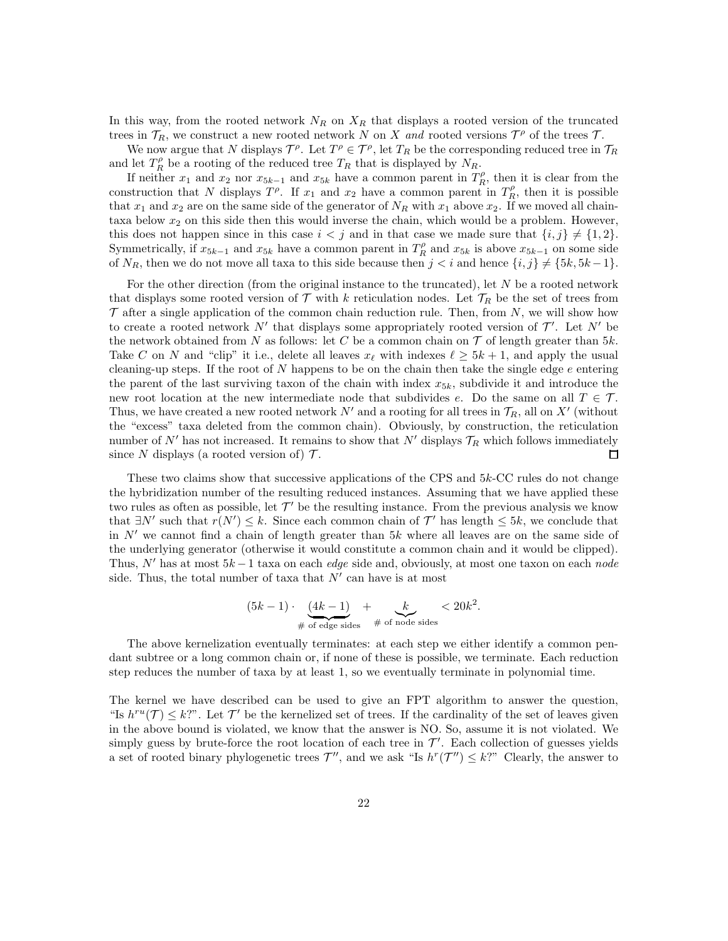In this way, from the rooted network  $N_R$  on  $X_R$  that displays a rooted version of the truncated trees in  $\mathcal{T}_R$ , we construct a new rooted network N on X and rooted versions  $\mathcal{T}^\rho$  of the trees T.

We now argue that N displays  $\mathcal{T}^{\rho}$ . Let  $T^{\rho} \in \mathcal{T}^{\rho}$ , let  $T_R$  be the corresponding reduced tree in  $\mathcal{T}_R$ and let  $T_R^{\rho}$  be a rooting of the reduced tree  $T_R$  that is displayed by  $N_R$ .

If neither  $x_1$  and  $x_2$  nor  $x_{5k-1}$  and  $x_{5k}$  have a common parent in  $T_R^{\rho}$ , then it is clear from the construction that N displays  $T^{\rho}$ . If  $x_1$  and  $x_2$  have a common parent in  $T^{\rho}_R$ , then it is possible that  $x_1$  and  $x_2$  are on the same side of the generator of  $N_R$  with  $x_1$  above  $x_2$ . If we moved all chaintaxa below  $x_2$  on this side then this would inverse the chain, which would be a problem. However, this does not happen since in this case  $i < j$  and in that case we made sure that  $\{i, j\} \neq \{1, 2\}$ . Symmetrically, if  $x_{5k-1}$  and  $x_{5k}$  have a common parent in  $T_R^{\rho}$  and  $x_{5k}$  is above  $x_{5k-1}$  on some side of  $N_R$ , then we do not move all taxa to this side because then  $j < i$  and hence  $\{i, j\} \neq \{5k, 5k-1\}.$ 

For the other direction (from the original instance to the truncated), let  $N$  be a rooted network that displays some rooted version of  $\mathcal T$  with k reticulation nodes. Let  $\mathcal T_R$  be the set of trees from  $\mathcal T$  after a single application of the common chain reduction rule. Then, from N, we will show how to create a rooted network N' that displays some appropriately rooted version of  $\mathcal{T}'$ . Let N' be the network obtained from N as follows: let C be a common chain on  $\mathcal T$  of length greater than 5k. Take C on N and "clip" it i.e., delete all leaves  $x_{\ell}$  with indexes  $\ell \geq 5k+1$ , and apply the usual cleaning-up steps. If the root of N happens to be on the chain then take the single edge  $e$  entering the parent of the last surviving taxon of the chain with index  $x_{5k}$ , subdivide it and introduce the new root location at the new intermediate node that subdivides e. Do the same on all  $T \in \mathcal{T}$ . Thus, we have created a new rooted network  $N'$  and a rooting for all trees in  $\mathcal{T}_R$ , all on  $X'$  (without the "excess" taxa deleted from the common chain). Obviously, by construction, the reticulation number of N' has not increased. It remains to show that N' displays  $\mathcal{T}_R$  which follows immediately since N displays (a rooted version of)  $\mathcal{T}$ . □

These two claims show that successive applications of the CPS and 5k-CC rules do not change the hybridization number of the resulting reduced instances. Assuming that we have applied these two rules as often as possible, let  $\mathcal{T}'$  be the resulting instance. From the previous analysis we know that  $\exists N'$  such that  $r(N') \leq k$ . Since each common chain of  $\mathcal{T}'$  has length  $\leq 5k$ , we conclude that in  $N'$  we cannot find a chain of length greater than  $5k$  where all leaves are on the same side of the underlying generator (otherwise it would constitute a common chain and it would be clipped). Thus, N' has at most  $5k-1$  taxa on each *edge* side and, obviously, at most one taxon on each *node* side. Thus, the total number of taxa that  $N'$  can have is at most

$$
(5k-1)\cdot \underbrace{(4k-1)}_{\text{\# of edge sides}} + \underbrace{k}_{\text{# of node sides}} < 20k^2.
$$

The above kernelization eventually terminates: at each step we either identify a common pendant subtree or a long common chain or, if none of these is possible, we terminate. Each reduction step reduces the number of taxa by at least 1, so we eventually terminate in polynomial time.

The kernel we have described can be used to give an FPT algorithm to answer the question, "Is  $h^{ru}(\mathcal{T}) \leq k$ ?". Let  $\mathcal{T}'$  be the kernelized set of trees. If the cardinality of the set of leaves given in the above bound is violated, we know that the answer is NO. So, assume it is not violated. We simply guess by brute-force the root location of each tree in  $\mathcal{T}'$ . Each collection of guesses yields a set of rooted binary phylogenetic trees  $\mathcal{T}''$ , and we ask "Is  $h^r(\mathcal{T}'') \leq k$ ?" Clearly, the answer to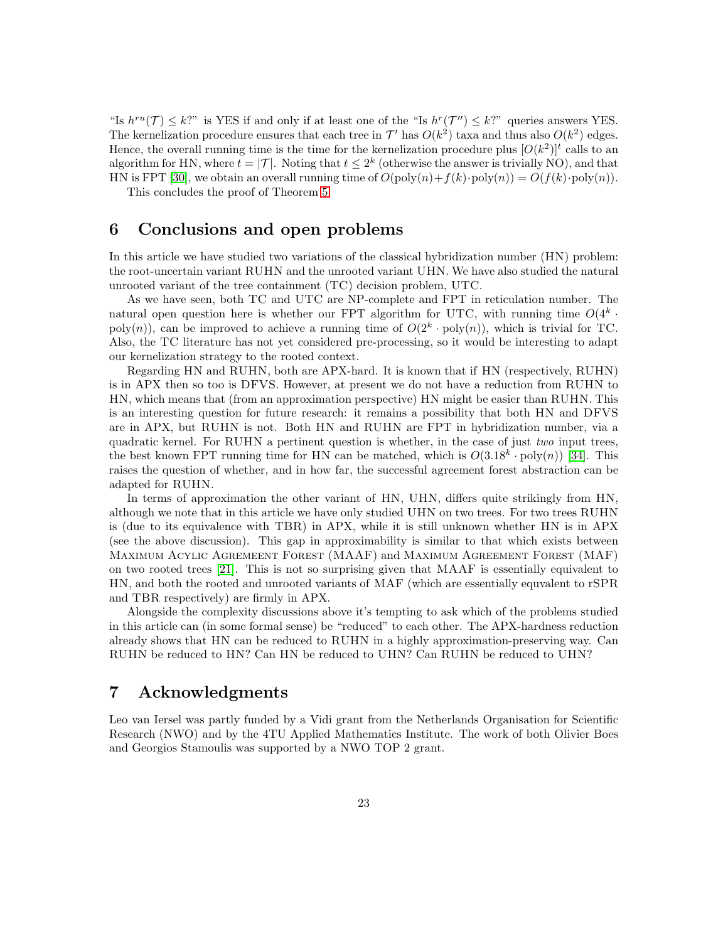"Is  $h^{ru}(\mathcal{T}) \leq k$ ?" is YES if and only if at least one of the "Is  $h^r(\mathcal{T}'') \leq k$ ?" queries answers YES. The kernelization procedure ensures that each tree in  $\mathcal{T}'$  has  $O(k^2)$  taxa and thus also  $O(k^2)$  edges. Hence, the overall running time is the time for the kernelization procedure plus  $[O(k^2)]^t$  calls to an algorithm for HN, where  $t = |\mathcal{T}|$ . Noting that  $t \leq 2^k$  (otherwise the answer is trivially NO), and that HN is FPT [\[30\]](#page-24-7), we obtain an overall running time of  $O(\text{poly}(n) + f(k) \cdot \text{poly}(n)) = O(f(k) \cdot \text{poly}(n)).$ 

This concludes the proof of Theorem [5.](#page-19-0)

#### <span id="page-22-0"></span>6 Conclusions and open problems

In this article we have studied two variations of the classical hybridization number (HN) problem: the root-uncertain variant RUHN and the unrooted variant UHN. We have also studied the natural unrooted variant of the tree containment (TC) decision problem, UTC.

As we have seen, both TC and UTC are NP-complete and FPT in reticulation number. The natural open question here is whether our FPT algorithm for UTC, with running time  $O(4^k \cdot$ poly $(n)$ , can be improved to achieve a running time of  $O(2^k \cdot \text{poly}(n))$ , which is trivial for TC. Also, the TC literature has not yet considered pre-processing, so it would be interesting to adapt our kernelization strategy to the rooted context.

Regarding HN and RUHN, both are APX-hard. It is known that if HN (respectively, RUHN) is in APX then so too is DFVS. However, at present we do not have a reduction from RUHN to HN, which means that (from an approximation perspective) HN might be easier than RUHN. This is an interesting question for future research: it remains a possibility that both HN and DFVS are in APX, but RUHN is not. Both HN and RUHN are FPT in hybridization number, via a quadratic kernel. For RUHN a pertinent question is whether, in the case of just two input trees, the best known FPT running time for HN can be matched, which is  $O(3.18<sup>k</sup> \cdot \text{poly}(n))$  [\[34\]](#page-25-2). This raises the question of whether, and in how far, the successful agreement forest abstraction can be adapted for RUHN.

In terms of approximation the other variant of HN, UHN, differs quite strikingly from HN, although we note that in this article we have only studied UHN on two trees. For two trees RUHN is (due to its equivalence with TBR) in APX, while it is still unknown whether HN is in APX (see the above discussion). This gap in approximability is similar to that which exists between Maximum Acylic Agremeent Forest (MAAF) and Maximum Agreement Forest (MAF) on two rooted trees [\[21\]](#page-24-5). This is not so surprising given that MAAF is essentially equivalent to HN, and both the rooted and unrooted variants of MAF (which are essentially equvalent to rSPR and TBR respectively) are firmly in APX.

Alongside the complexity discussions above it's tempting to ask which of the problems studied in this article can (in some formal sense) be "reduced" to each other. The APX-hardness reduction already shows that HN can be reduced to RUHN in a highly approximation-preserving way. Can RUHN be reduced to HN? Can HN be reduced to UHN? Can RUHN be reduced to UHN?

#### 7 Acknowledgments

Leo van Iersel was partly funded by a Vidi grant from the Netherlands Organisation for Scientific Research (NWO) and by the 4TU Applied Mathematics Institute. The work of both Olivier Boes and Georgios Stamoulis was supported by a NWO TOP 2 grant.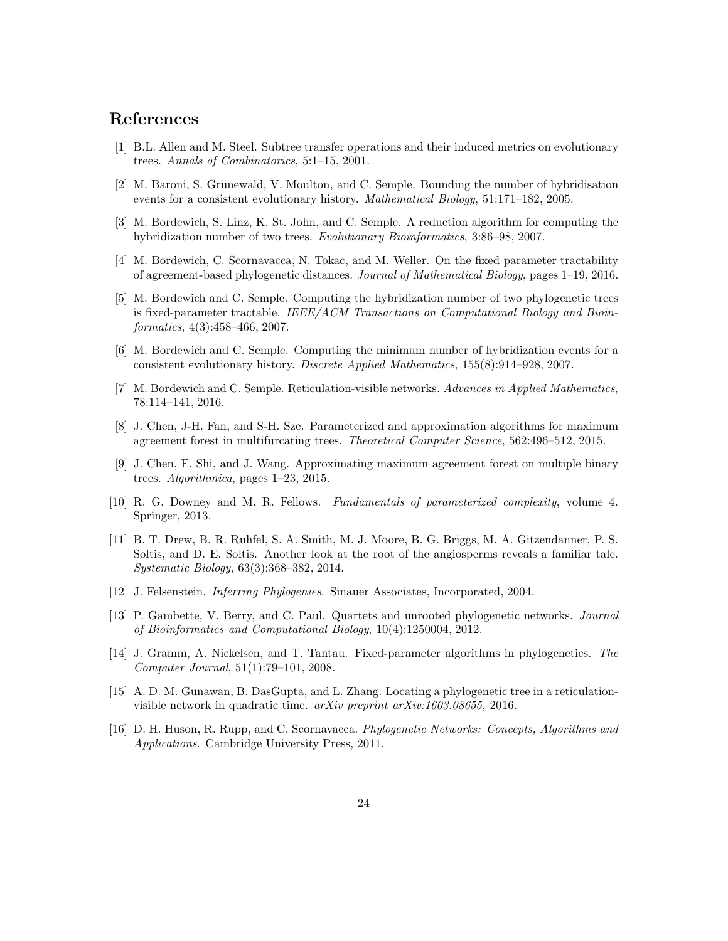### <span id="page-23-10"></span>References

- <span id="page-23-14"></span>[1] B.L. Allen and M. Steel. Subtree transfer operations and their induced metrics on evolutionary trees. Annals of Combinatorics, 5:1–15, 2001.
- <span id="page-23-15"></span>[2] M. Baroni, S. Grünewald, V. Moulton, and C. Semple. Bounding the number of hybridisation events for a consistent evolutionary history. Mathematical Biology, 51:171–182, 2005.
- <span id="page-23-13"></span>[3] M. Bordewich, S. Linz, K. St. John, and C. Semple. A reduction algorithm for computing the hybridization number of two trees. Evolutionary Bioinformatics, 3:86–98, 2007.
- [4] M. Bordewich, C. Scornavacca, N. Tokac, and M. Weller. On the fixed parameter tractability of agreement-based phylogenetic distances. Journal of Mathematical Biology, pages 1–19, 2016.
- <span id="page-23-6"></span>[5] M. Bordewich and C. Semple. Computing the hybridization number of two phylogenetic trees is fixed-parameter tractable. IEEE/ACM Transactions on Computational Biology and Bioinformatics, 4(3):458–466, 2007.
- <span id="page-23-8"></span><span id="page-23-3"></span>[6] M. Bordewich and C. Semple. Computing the minimum number of hybridization events for a consistent evolutionary history. Discrete Applied Mathematics, 155(8):914–928, 2007.
- <span id="page-23-11"></span>[7] M. Bordewich and C. Semple. Reticulation-visible networks. Advances in Applied Mathematics, 78:114–141, 2016.
- [8] J. Chen, J-H. Fan, and S-H. Sze. Parameterized and approximation algorithms for maximum agreement forest in multifurcating trees. Theoretical Computer Science, 562:496–512, 2015.
- <span id="page-23-12"></span>[9] J. Chen, F. Shi, and J. Wang. Approximating maximum agreement forest on multiple binary trees. Algorithmica, pages 1–23, 2015.
- <span id="page-23-4"></span>[10] R. G. Downey and M. R. Fellows. Fundamentals of parameterized complexity, volume 4. Springer, 2013.
- <span id="page-23-1"></span>[11] B. T. Drew, B. R. Ruhfel, S. A. Smith, M. J. Moore, B. G. Briggs, M. A. Gitzendanner, P. S. Soltis, and D. E. Soltis. Another look at the root of the angiosperms reveals a familiar tale. Systematic Biology, 63(3):368–382, 2014.
- <span id="page-23-7"></span><span id="page-23-0"></span>[12] J. Felsenstein. Inferring Phylogenies. Sinauer Associates, Incorporated, 2004.
- [13] P. Gambette, V. Berry, and C. Paul. Quartets and unrooted phylogenetic networks. Journal of Bioinformatics and Computational Biology, 10(4):1250004, 2012.
- <span id="page-23-5"></span>[14] J. Gramm, A. Nickelsen, and T. Tantau. Fixed-parameter algorithms in phylogenetics. The Computer Journal, 51(1):79–101, 2008.
- <span id="page-23-9"></span>[15] A. D. M. Gunawan, B. DasGupta, and L. Zhang. Locating a phylogenetic tree in a reticulationvisible network in quadratic time. arXiv preprint arXiv:1603.08655, 2016.
- <span id="page-23-2"></span>[16] D. H. Huson, R. Rupp, and C. Scornavacca. Phylogenetic Networks: Concepts, Algorithms and Applications. Cambridge University Press, 2011.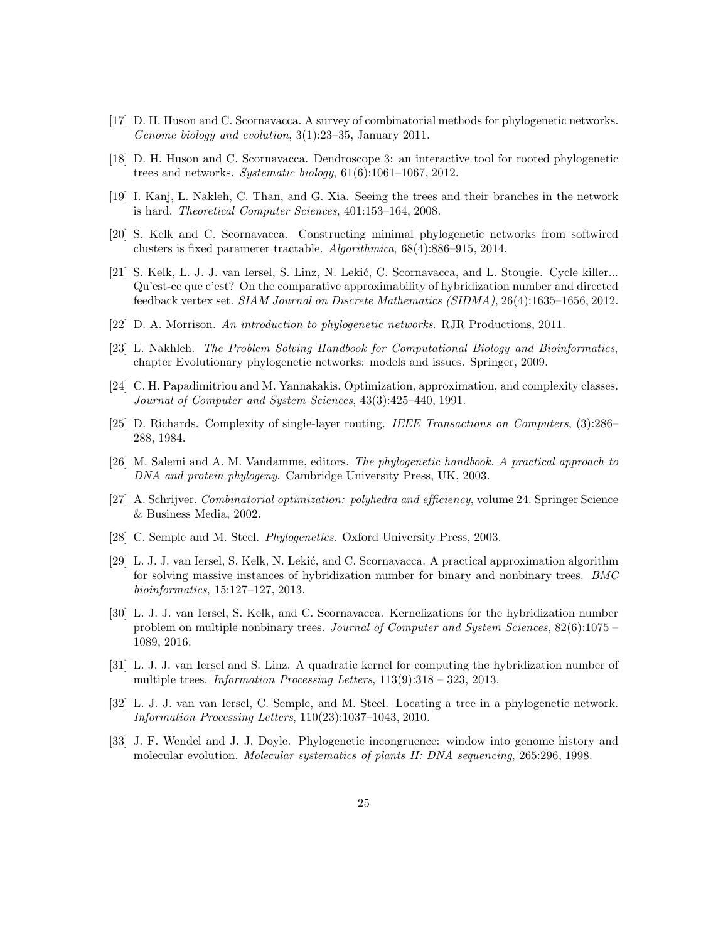- <span id="page-24-12"></span><span id="page-24-4"></span>[17] D. H. Huson and C. Scornavacca. A survey of combinatorial methods for phylogenetic networks. Genome biology and evolution, 3(1):23–35, January 2011.
- <span id="page-24-10"></span>[18] D. H. Huson and C. Scornavacca. Dendroscope 3: an interactive tool for rooted phylogenetic trees and networks. Systematic biology, 61(6):1061–1067, 2012.
- <span id="page-24-15"></span>[19] I. Kanj, L. Nakleh, C. Than, and G. Xia. Seeing the trees and their branches in the network is hard. Theoretical Computer Sciences, 401:153–164, 2008.
- [20] S. Kelk and C. Scornavacca. Constructing minimal phylogenetic networks from softwired clusters is fixed parameter tractable. Algorithmica, 68(4):886–915, 2014.
- <span id="page-24-5"></span>[21] S. Kelk, L. J. J. van Iersel, S. Linz, N. Leki´c, C. Scornavacca, and L. Stougie. Cycle killer... Qu'est-ce que c'est? On the comparative approximability of hybridization number and directed feedback vertex set. SIAM Journal on Discrete Mathematics (SIDMA), 26(4):1635–1656, 2012.
- <span id="page-24-3"></span><span id="page-24-1"></span>[22] D. A. Morrison. An introduction to phylogenetic networks. RJR Productions, 2011.
- <span id="page-24-16"></span>[23] L. Nakhleh. The Problem Solving Handbook for Computational Biology and Bioinformatics, chapter Evolutionary phylogenetic networks: models and issues. Springer, 2009.
- [24] C. H. Papadimitriou and M. Yannakakis. Optimization, approximation, and complexity classes. Journal of Computer and System Sciences, 43(3):425–440, 1991.
- <span id="page-24-13"></span>[25] D. Richards. Complexity of single-layer routing. IEEE Transactions on Computers, (3):286– 288, 1984.
- <span id="page-24-2"></span>[26] M. Salemi and A. M. Vandamme, editors. The phylogenetic handbook. A practical approach to DNA and protein phylogeny. Cambridge University Press, UK, 2003.
- <span id="page-24-14"></span>[27] A. Schrijver. Combinatorial optimization: polyhedra and efficiency, volume 24. Springer Science & Business Media, 2002.
- <span id="page-24-6"></span><span id="page-24-0"></span>[28] C. Semple and M. Steel. *Phylogenetics*. Oxford University Press, 2003.
- [29] L. J. J. van Iersel, S. Kelk, N. Leki´c, and C. Scornavacca. A practical approximation algorithm for solving massive instances of hybridization number for binary and nonbinary trees. BMC bioinformatics, 15:127–127, 2013.
- <span id="page-24-7"></span>[30] L. J. J. van Iersel, S. Kelk, and C. Scornavacca. Kernelizations for the hybridization number problem on multiple nonbinary trees. Journal of Computer and System Sciences, 82(6):1075 – 1089, 2016.
- <span id="page-24-11"></span>[31] L. J. J. van Iersel and S. Linz. A quadratic kernel for computing the hybridization number of multiple trees. Information Processing Letters, 113(9):318 – 323, 2013.
- <span id="page-24-9"></span>[32] L. J. J. van van Iersel, C. Semple, and M. Steel. Locating a tree in a phylogenetic network. Information Processing Letters, 110(23):1037–1043, 2010.
- <span id="page-24-8"></span>[33] J. F. Wendel and J. J. Doyle. Phylogenetic incongruence: window into genome history and molecular evolution. Molecular systematics of plants II: DNA sequencing, 265:296, 1998.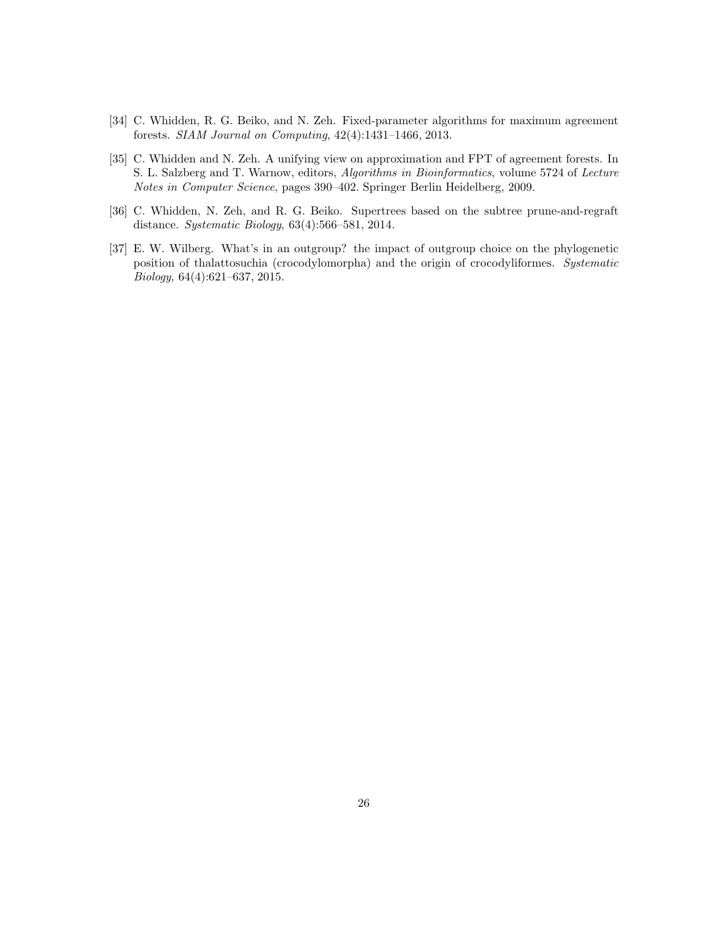- <span id="page-25-2"></span>[34] C. Whidden, R. G. Beiko, and N. Zeh. Fixed-parameter algorithms for maximum agreement forests. SIAM Journal on Computing, 42(4):1431–1466, 2013.
- <span id="page-25-3"></span>[35] C. Whidden and N. Zeh. A unifying view on approximation and FPT of agreement forests. In S. L. Salzberg and T. Warnow, editors, Algorithms in Bioinformatics, volume 5724 of Lecture Notes in Computer Science, pages 390–402. Springer Berlin Heidelberg, 2009.
- <span id="page-25-1"></span>[36] C. Whidden, N. Zeh, and R. G. Beiko. Supertrees based on the subtree prune-and-regraft distance. Systematic Biology, 63(4):566–581, 2014.
- <span id="page-25-0"></span>[37] E. W. Wilberg. What's in an outgroup? the impact of outgroup choice on the phylogenetic position of thalattosuchia (crocodylomorpha) and the origin of crocodyliformes. Systematic Biology, 64(4):621–637, 2015.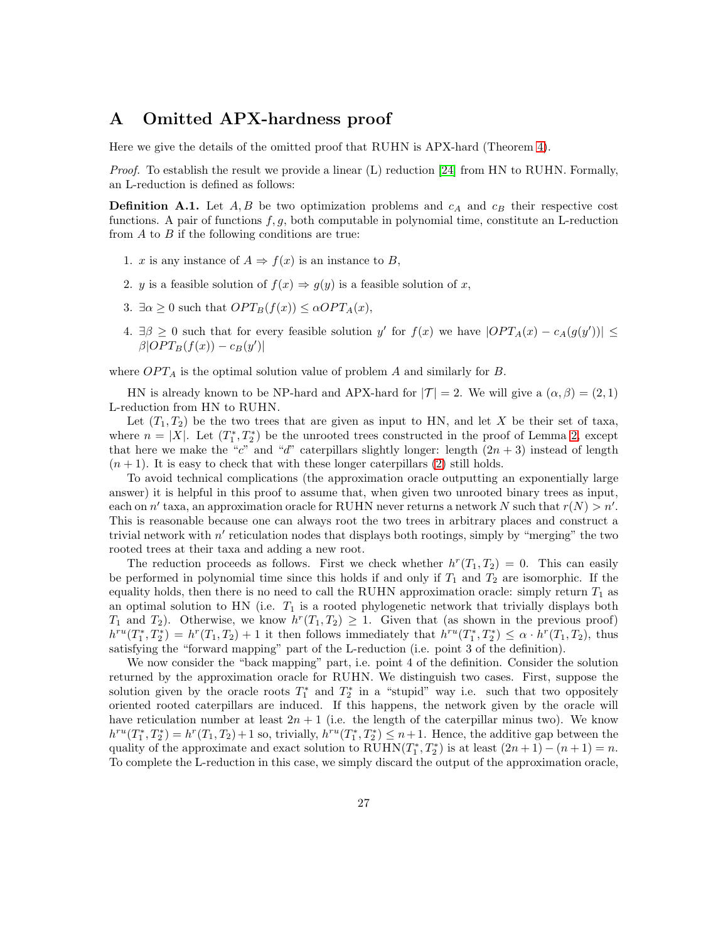### A Omitted APX-hardness proof

Here we give the details of the omitted proof that RUHN is APX-hard (Theorem [4\)](#page-18-0).

*Proof.* To establish the result we provide a linear  $(L)$  reduction [\[24\]](#page-24-16) from HN to RUHN. Formally, an L-reduction is defined as follows:

**Definition A.1.** Let  $A, B$  be two optimization problems and  $c_A$  and  $c_B$  their respective cost functions. A pair of functions  $f, g$ , both computable in polynomial time, constitute an L-reduction from  $A$  to  $B$  if the following conditions are true:

- 1. x is any instance of  $A \Rightarrow f(x)$  is an instance to B,
- 2. y is a feasible solution of  $f(x) \Rightarrow g(y)$  is a feasible solution of x,
- 3.  $\exists \alpha \geq 0$  such that  $OPT_B(f(x)) \leq \alpha OPT_A(x)$ ,
- 4.  $\exists \beta \geq 0$  such that for every feasible solution y' for  $f(x)$  we have  $|OPT_A(x) c_A(g(y'))| \leq$  $\beta |OPT_B(f(x)) - c_B(y')|$

where  $OPT_A$  is the optimal solution value of problem A and similarly for B.

HN is already known to be NP-hard and APX-hard for  $|\mathcal{T}| = 2$ . We will give a  $(\alpha, \beta) = (2, 1)$ L-reduction from HN to RUHN.

Let  $(T_1, T_2)$  be the two trees that are given as input to HN, and let X be their set of taxa, where  $n = |X|$ . Let  $(T_1^*, T_2^*)$  be the unrooted trees constructed in the proof of Lemma [2,](#page-16-2) except that here we make the "c" and "d" caterpillars slightly longer: length  $(2n + 3)$  instead of length  $(n + 1)$ . It is easy to check that with these longer caterpillars [\(2\)](#page-16-1) still holds.

To avoid technical complications (the approximation oracle outputting an exponentially large answer) it is helpful in this proof to assume that, when given two unrooted binary trees as input, each on n' taxa, an approximation oracle for RUHN never returns a network N such that  $r(N) > n'$ . This is reasonable because one can always root the two trees in arbitrary places and construct a trivial network with  $n'$  reticulation nodes that displays both rootings, simply by "merging" the two rooted trees at their taxa and adding a new root.

The reduction proceeds as follows. First we check whether  $h^{r}(T_1, T_2) = 0$ . This can easily be performed in polynomial time since this holds if and only if  $T_1$  and  $T_2$  are isomorphic. If the equality holds, then there is no need to call the RUHN approximation oracle: simply return  $T_1$  as an optimal solution to HN (i.e.  $T_1$  is a rooted phylogenetic network that trivially displays both  $T_1$  and  $T_2$ ). Otherwise, we know  $h^{r}(T_1, T_2) \geq 1$ . Given that (as shown in the previous proof)  $h^{ru}(T_1^*, T_2^*) = h^r(T_1, T_2) + 1$  it then follows immediately that  $h^{ru}(T_1^*, T_2^*) \leq \alpha \cdot h^r(T_1, T_2)$ , thus satisfying the "forward mapping" part of the L-reduction (i.e. point 3 of the definition).

We now consider the "back mapping" part, i.e. point 4 of the definition. Consider the solution returned by the approximation oracle for RUHN. We distinguish two cases. First, suppose the solution given by the oracle roots  $T_1^*$  and  $T_2^*$  in a "stupid" way i.e. such that two oppositely oriented rooted caterpillars are induced. If this happens, the network given by the oracle will have reticulation number at least  $2n + 1$  (i.e. the length of the caterpillar minus two). We know  $h^{ru}(T_1^*, T_2^*) = h^r(T_1, T_2) + 1$  so, trivially,  $h^{ru}(T_1^*, T_2^*) \leq n+1$ . Hence, the additive gap between the quality of the approximate and exact solution to  $\text{RUHN}(T_1^*, T_2^*)$  is at least  $(2n + 1) - (n + 1) = n$ . To complete the L-reduction in this case, we simply discard the output of the approximation oracle,